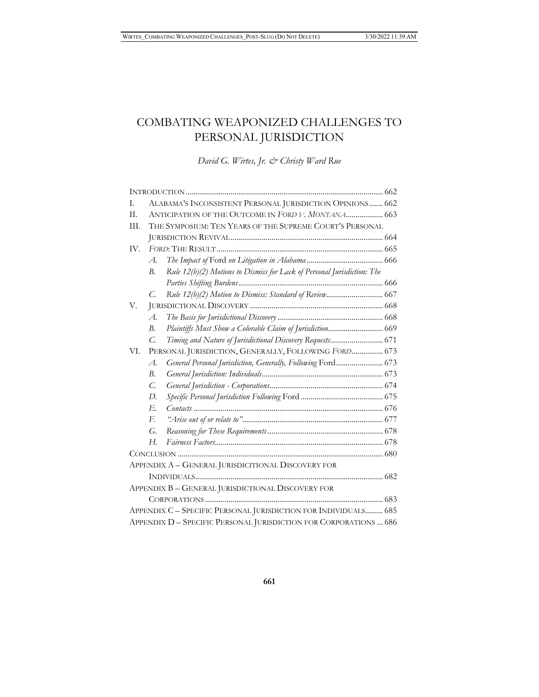# COMBATING WEAPONIZED CHALLENGES TO PERSONAL JURISDICTION

*David G. Wirtes, Jr. & Christy Ward Rue*

| T.                                                                | ALABAMA'S INCONSISTENT PERSONAL JURISDICTION OPINIONS 662                       |
|-------------------------------------------------------------------|---------------------------------------------------------------------------------|
| II.                                                               | ANTICIPATION OF THE OUTCOME IN FORD V. MONTANA 663                              |
| III.                                                              | THE SYMPOSIUM: TEN YEARS OF THE SUPREME COURT'S PERSONAL                        |
|                                                                   |                                                                                 |
| IV.                                                               |                                                                                 |
|                                                                   | $\mathcal{A}.$                                                                  |
|                                                                   | Rule 12(b)(2) Motions to Dismiss for Lack of Personal Jurisdiction: The<br>В.   |
|                                                                   |                                                                                 |
|                                                                   | C.                                                                              |
| V.                                                                |                                                                                 |
|                                                                   | $A$ .                                                                           |
|                                                                   | Plaintiffs Must Show a Colorable Claim of Jurisdiction 669<br>B.                |
|                                                                   | Timing and Nature of Jurisdictional Discovery Requests 671<br>$\mathcal{C}$     |
| VI.                                                               | PERSONAL JURISDICTION, GENERALLY, FOLLOWING FORD 673                            |
|                                                                   | General Personal Jurisdiction, Generally, Following Ford 673<br>$\mathcal{A}$ . |
|                                                                   | B.                                                                              |
|                                                                   | $\mathcal{C}$ .                                                                 |
|                                                                   | $D$ .                                                                           |
|                                                                   | Е.                                                                              |
|                                                                   | $F_{\cdot}$                                                                     |
|                                                                   | G.                                                                              |
|                                                                   | Н.                                                                              |
|                                                                   |                                                                                 |
| APPENDIX A - GENERAL JURISDICITIONAL DISCOVERY FOR                |                                                                                 |
|                                                                   |                                                                                 |
| APPENDIX B - GENERAL JURISDICTIONAL DISCOVERY FOR                 |                                                                                 |
|                                                                   |                                                                                 |
| APPENDIX C - SPECIFIC PERSONAL JURISDICTION FOR INDIVIDUALS 685   |                                                                                 |
| APPENDIX D - SPECIFIC PERSONAL JURISDICTION FOR CORPORATIONS  686 |                                                                                 |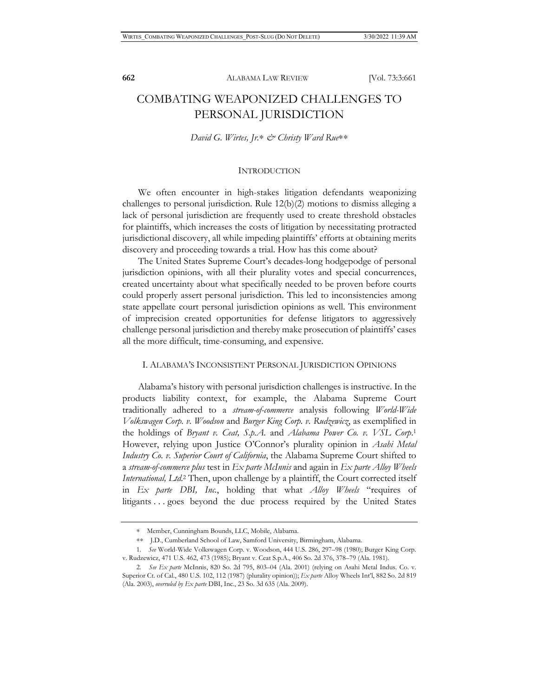# COMBATING WEAPONIZED CHALLENGES TO PERSONAL JURISDICTION

#### *David G. Wirtes, Jr.\* & Christy Ward Rue*\*\*

#### INTRODUCTION

We often encounter in high-stakes litigation defendants weaponizing challenges to personal jurisdiction. Rule 12(b)(2) motions to dismiss alleging a lack of personal jurisdiction are frequently used to create threshold obstacles for plaintiffs, which increases the costs of litigation by necessitating protracted jurisdictional discovery, all while impeding plaintiffs' efforts at obtaining merits discovery and proceeding towards a trial. How has this come about?

The United States Supreme Court's decades-long hodgepodge of personal jurisdiction opinions, with all their plurality votes and special concurrences, created uncertainty about what specifically needed to be proven before courts could properly assert personal jurisdiction. This led to inconsistencies among state appellate court personal jurisdiction opinions as well. This environment of imprecision created opportunities for defense litigators to aggressively challenge personal jurisdiction and thereby make prosecution of plaintiffs' cases all the more difficult, time-consuming, and expensive.

#### I. ALABAMA'S INCONSISTENT PERSONAL JURISDICTION OPINIONS

Alabama's history with personal jurisdiction challenges is instructive. In the products liability context, for example, the Alabama Supreme Court traditionally adhered to a *stream-of-commerce* analysis following *World-Wide Volkswagen Corp. v. Woodson* and *Burger King Corp. v. Rudzewicz*, as exemplified in the holdings of *Bryant v. Ceat, S.p.A.* and *Alabama Power Co. v. VSL Corp*. 1 However, relying upon Justice O'Connor's plurality opinion in *Asahi Metal Industry Co. v. Superior Court of California*, the Alabama Supreme Court shifted to a *stream-of-commerce plus* test in *Ex parte McInnis* and again in *Ex parte Alloy Wheels International, Ltd*. 2 Then, upon challenge by a plaintiff, the Court corrected itself in *Ex parte DBI, Inc.*, holding that what *Alloy Wheels* "requires of litigants . . . goes beyond the due process required by the United States

<sup>∗</sup> Member, Cunningham Bounds, LLC, Mobile, Alabama.

<sup>∗∗</sup> J.D., Cumberland School of Law, Samford University, Birmingham, Alabama.

<sup>1.</sup> *See* World-Wide Volkswagen Corp. v. Woodson, 444 U.S. 286, 297–98 (1980); Burger King Corp. v. Rudzewicz, 471 U.S. 462, 473 (1985); Bryant v. Ceat S.p.A., 406 So. 2d 376, 378–79 (Ala. 1981).

<sup>2.</sup> *See Ex parte* McInnis, 820 So. 2d 795, 803–04 (Ala. 2001) (relying on Asahi Metal Indus. Co. v. Superior Ct. of Cal., 480 U.S. 102, 112 (1987) (plurality opinion)); *Ex parte* Alloy Wheels Int'l, 882 So. 2d 819 (Ala. 2003), *overruled by Ex parte* DBI, Inc., 23 So. 3d 635 (Ala. 2009).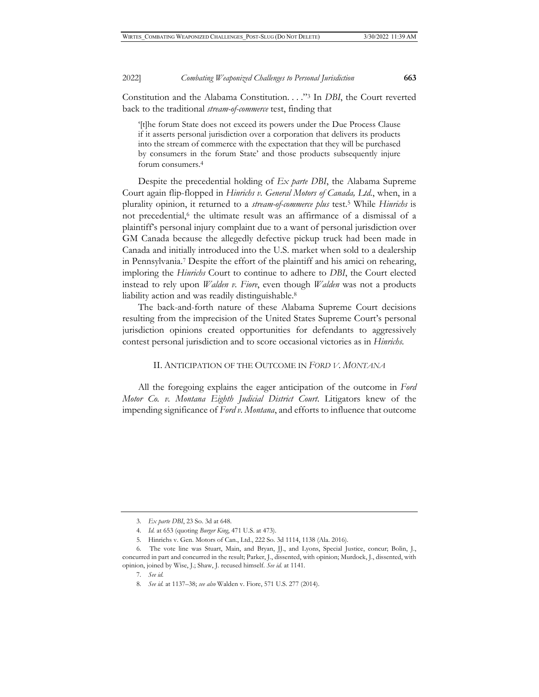Constitution and the Alabama Constitution. . . ."3 In *DBI*, the Court reverted back to the traditional *stream-of-commerce* test, finding that

'[t]he forum State does not exceed its powers under the Due Process Clause if it asserts personal jurisdiction over a corporation that delivers its products into the stream of commerce with the expectation that they will be purchased by consumers in the forum State' and those products subsequently injure forum consumers.4

Despite the precedential holding of *Ex parte DBI*, the Alabama Supreme Court again flip-flopped in *Hinrichs v. General Motors of Canada, Ltd.*, when, in a plurality opinion, it returned to a *stream-of-commerce plus* test.5 While *Hinrichs* is not precedential,<sup>6</sup> the ultimate result was an affirmance of a dismissal of a plaintiff's personal injury complaint due to a want of personal jurisdiction over GM Canada because the allegedly defective pickup truck had been made in Canada and initially introduced into the U.S. market when sold to a dealership in Pennsylvania.7 Despite the effort of the plaintiff and his amici on rehearing, imploring the *Hinrichs* Court to continue to adhere to *DBI*, the Court elected instead to rely upon *Walden v. Fiore*, even though *Walden* was not a products liability action and was readily distinguishable.<sup>8</sup>

The back-and-forth nature of these Alabama Supreme Court decisions resulting from the imprecision of the United States Supreme Court's personal jurisdiction opinions created opportunities for defendants to aggressively contest personal jurisdiction and to score occasional victories as in *Hinrichs*.

## II. ANTICIPATION OF THE OUTCOME IN *FORD V. MONTANA*

All the foregoing explains the eager anticipation of the outcome in *Ford Motor Co. v. Montana Eighth Judicial District Court*. Litigators knew of the impending significance of *Ford v. Montana*, and efforts to influence that outcome

<sup>3.</sup> *Ex parte DBI*, 23 So. 3d at 648.

<sup>4.</sup> *Id.* at 653 (quoting *Burger King*, 471 U.S. at 473).

<sup>5.</sup> Hinrichs v. Gen. Motors of Can., Ltd., 222 So. 3d 1114, 1138 (Ala. 2016).

<sup>6.</sup> The vote line was Stuart, Main, and Bryan, JJ., and Lyons, Special Justice, concur; Bolin, J., concurred in part and concurred in the result; Parker, J., dissented, with opinion; Murdock, J., dissented, with opinion, joined by Wise, J.; Shaw, J. recused himself. *See id.* at 1141.

<sup>7.</sup> *See id.*

<sup>8.</sup> *See id.* at 1137–38; *see also* Walden v. Fiore, 571 U.S. 277 (2014).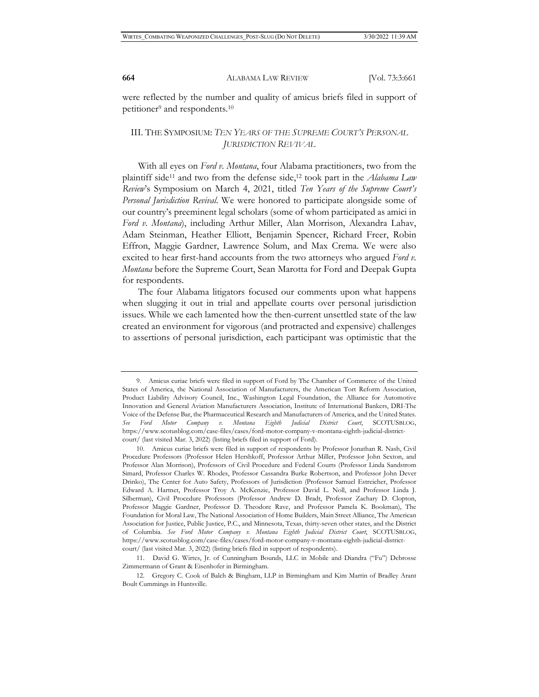were reflected by the number and quality of amicus briefs filed in support of petitioner<sup>9</sup> and respondents.<sup>10</sup>

# III. THE SYMPOSIUM: *TEN YEARS OF THE SUPREME COURT'S PERSONAL JURISDICTION REVIVAL*

With all eyes on *Ford v. Montana*, four Alabama practitioners, two from the plaintiff side11 and two from the defense side,12 took part in the *Alabama Law Review*'s Symposium on March 4, 2021, titled *Ten Years of the Supreme Court's Personal Jurisdiction Revival*. We were honored to participate alongside some of our country's preeminent legal scholars (some of whom participated as amici in *Ford v. Montana*), including Arthur Miller, Alan Morrison, Alexandra Lahav, Adam Steinman, Heather Elliott, Benjamin Spencer, Richard Freer, Robin Effron, Maggie Gardner, Lawrence Solum, and Max Crema. We were also excited to hear first-hand accounts from the two attorneys who argued *Ford v. Montana* before the Supreme Court, Sean Marotta for Ford and Deepak Gupta for respondents.

The four Alabama litigators focused our comments upon what happens when slugging it out in trial and appellate courts over personal jurisdiction issues. While we each lamented how the then-current unsettled state of the law created an environment for vigorous (and protracted and expensive) challenges to assertions of personal jurisdiction, each participant was optimistic that the

<sup>9.</sup> Amicus curiae briefs were filed in support of Ford by The Chamber of Commerce of the United States of America, the National Association of Manufacturers, the American Tort Reform Association, Product Liability Advisory Council, Inc., Washington Legal Foundation, the Alliance for Automotive Innovation and General Aviation Manufacturers Association, Institute of International Bankers, DRI-The Voice of the Defense Bar, the Pharmaceutical Research and Manufacturers of America, and the United States. *See Ford Motor Company v. Montana Eighth Judicial District Court*, SCOTUSBLOG, https://www.scotusblog.com/case-files/cases/ford-motor-company-v-montana-eighth-judicial-districtcourt/ (last visited Mar. 3, 2022) (listing briefs filed in support of Ford).

<sup>10.</sup> Amicus curiae briefs were filed in support of respondents by Professor Jonathan R. Nash, Civil Procedure Professors (Professor Helen Hershkoff, Professor Arthur Miller, Professor John Sexton, and Professor Alan Morrison), Professors of Civil Procedure and Federal Courts (Professor Linda Sandstrom Simard, Professor Charles W. Rhodes, Professor Cassandra Burke Robertson, and Professor John Dever Drinko), The Center for Auto Safety, Professors of Jurisdiction (Professor Samuel Estreicher, Professor Edward A. Hartnet, Professor Troy A. McKenzie, Professor David L. Noll, and Professor Linda J. Silberman), Civil Procedure Professors (Professor Andrew D. Bradt, Professor Zachary D. Clopton, Professor Maggie Gardner, Professor D. Theodore Rave, and Professor Pamela K. Bookman), The Foundation for Moral Law, The National Association of Home Builders, Main Street Alliance, The American Association for Justice, Public Justice, P.C., and Minnesota, Texas, thirty-seven other states, and the District of Columbia. *See Ford Motor Company v. Montana Eighth Judicial District Court*, SCOTUSBLOG, https://www.scotusblog.com/case-files/cases/ford-motor-company-v-montana-eighth-judicial-districtcourt/ (last visited Mar. 3, 2022) (listing briefs filed in support of respondents).

<sup>11.</sup> David G. Wirtes, Jr. of Cunningham Bounds, LLC in Mobile and Diandra ("Fu") Debrosse Zimmermann of Grant & Eisenhofer in Birmingham.

<sup>12.</sup> Gregory C. Cook of Balch & Bingham, LLP in Birmingham and Kim Martin of Bradley Arant Boult Cummings in Huntsville.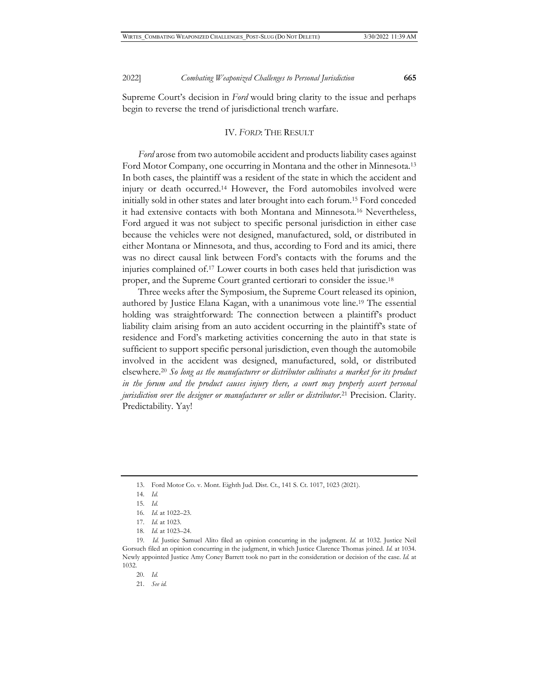Supreme Court's decision in *Ford* would bring clarity to the issue and perhaps begin to reverse the trend of jurisdictional trench warfare.

### IV. *FORD*: THE RESULT

*Ford* arose from two automobile accident and products liability cases against Ford Motor Company, one occurring in Montana and the other in Minnesota.<sup>13</sup> In both cases, the plaintiff was a resident of the state in which the accident and injury or death occurred.14 However, the Ford automobiles involved were initially sold in other states and later brought into each forum.15 Ford conceded it had extensive contacts with both Montana and Minnesota.16 Nevertheless, Ford argued it was not subject to specific personal jurisdiction in either case because the vehicles were not designed, manufactured, sold, or distributed in either Montana or Minnesota, and thus, according to Ford and its amici, there was no direct causal link between Ford's contacts with the forums and the injuries complained of.17 Lower courts in both cases held that jurisdiction was proper, and the Supreme Court granted certiorari to consider the issue.18

Three weeks after the Symposium, the Supreme Court released its opinion, authored by Justice Elana Kagan, with a unanimous vote line.19 The essential holding was straightforward: The connection between a plaintiff's product liability claim arising from an auto accident occurring in the plaintiff's state of residence and Ford's marketing activities concerning the auto in that state is sufficient to support specific personal jurisdiction, even though the automobile involved in the accident was designed, manufactured, sold, or distributed elsewhere.20 *So long as the manufacturer or distributor cultivates a market for its product in the forum and the product causes injury there, a court may properly assert personal jurisdiction over the designer or manufacturer or seller or distributor*. 21 Precision. Clarity. Predictability. Yay!

18. *Id.* at 1023–24.

- 20. *Id.*
- 21. *See id.*

<sup>13.</sup> Ford Motor Co. v. Mont. Eighth Jud. Dist. Ct., 141 S. Ct. 1017, 1023 (2021).

<sup>14.</sup> *Id.* 

<sup>15.</sup> *Id.*

<sup>16.</sup> *Id.* at 1022–23.

<sup>17.</sup> *Id.* at 1023.

<sup>19.</sup> *Id.* Justice Samuel Alito filed an opinion concurring in the judgment. *Id.* at 1032. Justice Neil Gorsuch filed an opinion concurring in the judgment, in which Justice Clarence Thomas joined. *Id.* at 1034. Newly appointed Justice Amy Coney Barrett took no part in the consideration or decision of the case. *Id.* at 1032.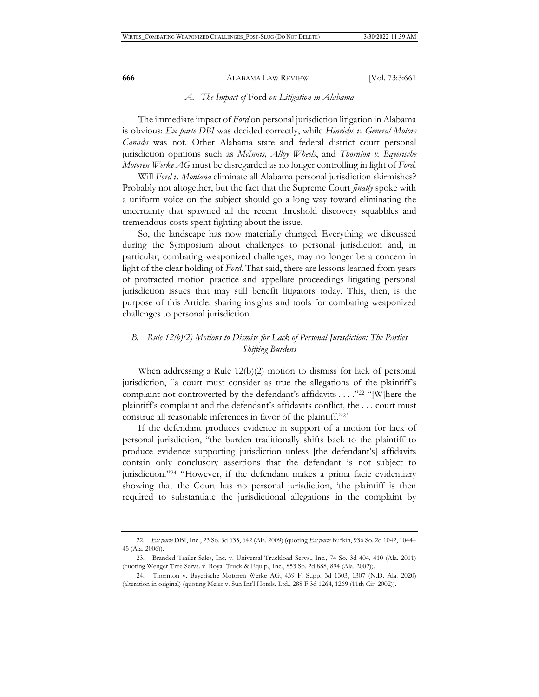#### *A. The Impact of* Ford *on Litigation in Alabama*

The immediate impact of *Ford* on personal jurisdiction litigation in Alabama is obvious: *Ex parte DBI* was decided correctly, while *Hinrichs v. General Motors Canada* was not. Other Alabama state and federal district court personal jurisdiction opinions such as *McInnis, Alloy Wheels*, and *Thornton v. Bayerische Motoren Werke AG* must be disregarded as no longer controlling in light of *Ford*.

Will *Ford v. Montana* eliminate all Alabama personal jurisdiction skirmishes? Probably not altogether, but the fact that the Supreme Court *finally* spoke with a uniform voice on the subject should go a long way toward eliminating the uncertainty that spawned all the recent threshold discovery squabbles and tremendous costs spent fighting about the issue.

So, the landscape has now materially changed. Everything we discussed during the Symposium about challenges to personal jurisdiction and, in particular, combating weaponized challenges, may no longer be a concern in light of the clear holding of *Ford*. That said, there are lessons learned from years of protracted motion practice and appellate proceedings litigating personal jurisdiction issues that may still benefit litigators today. This, then, is the purpose of this Article: sharing insights and tools for combating weaponized challenges to personal jurisdiction.

# *B. Rule 12(b)(2) Motions to Dismiss for Lack of Personal Jurisdiction: The Parties Shifting Burdens*

When addressing a Rule 12(b)(2) motion to dismiss for lack of personal jurisdiction, "a court must consider as true the allegations of the plaintiff's complaint not controverted by the defendant's affidavits . . . ."22 "[W]here the plaintiff's complaint and the defendant's affidavits conflict, the . . . court must construe all reasonable inferences in favor of the plaintiff."23

If the defendant produces evidence in support of a motion for lack of personal jurisdiction, "the burden traditionally shifts back to the plaintiff to produce evidence supporting jurisdiction unless [the defendant's] affidavits contain only conclusory assertions that the defendant is not subject to jurisdiction."24 "However, if the defendant makes a prima facie evidentiary showing that the Court has no personal jurisdiction, 'the plaintiff is then required to substantiate the jurisdictional allegations in the complaint by

<sup>22.</sup> *Ex parte* DBI, Inc., 23 So. 3d 635, 642 (Ala. 2009) (quoting *Ex parte* Bufkin, 936 So. 2d 1042, 1044– 45 (Ala. 2006)).

<sup>23.</sup> Branded Trailer Sales, Inc. v. Universal Truckload Servs., Inc., 74 So. 3d 404, 410 (Ala. 2011) (quoting Wenger Tree Servs. v. Royal Truck & Equip., Inc., 853 So. 2d 888, 894 (Ala. 2002)).

<sup>24.</sup> Thornton v. Bayerische Motoren Werke AG, 439 F. Supp. 3d 1303, 1307 (N.D. Ala. 2020) (alteration in original) (quoting Meier v. Sun Int'l Hotels, Ltd., 288 F.3d 1264, 1269 (11th Cir. 2002)).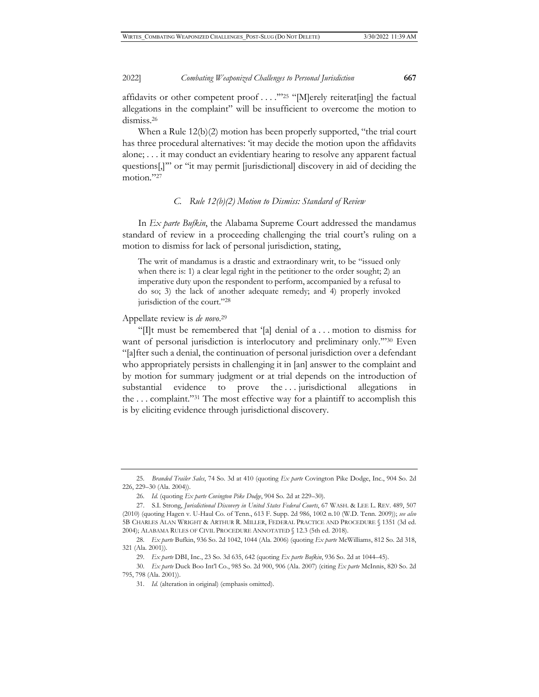#### 2022] *Combating Weaponized Challenges to Personal Jurisdiction* **667**

affidavits or other competent proof . . . .'"25 "[M]erely reiterat[ing] the factual allegations in the complaint" will be insufficient to overcome the motion to dismiss.26

When a Rule 12(b)(2) motion has been properly supported, "the trial court has three procedural alternatives: 'it may decide the motion upon the affidavits alone; . . . it may conduct an evidentiary hearing to resolve any apparent factual questions[,]'" or "it may permit [jurisdictional] discovery in aid of deciding the motion."27

### *C. Rule 12(b)(2) Motion to Dismiss: Standard of Review*

In *Ex parte Bufkin*, the Alabama Supreme Court addressed the mandamus standard of review in a proceeding challenging the trial court's ruling on a motion to dismiss for lack of personal jurisdiction, stating,

The writ of mandamus is a drastic and extraordinary writ, to be "issued only when there is: 1) a clear legal right in the petitioner to the order sought; 2) an imperative duty upon the respondent to perform, accompanied by a refusal to do so; 3) the lack of another adequate remedy; and 4) properly invoked jurisdiction of the court."28

Appellate review is *de novo*. 29

"[I]t must be remembered that '[a] denial of a . . . motion to dismiss for want of personal jurisdiction is interlocutory and preliminary only."<sup>30</sup> Even "[a]fter such a denial, the continuation of personal jurisdiction over a defendant who appropriately persists in challenging it in [an] answer to the complaint and by motion for summary judgment or at trial depends on the introduction of substantial evidence to prove the ... jurisdictional allegations in the . . . complaint."31 The most effective way for a plaintiff to accomplish this is by eliciting evidence through jurisdictional discovery.

<sup>25.</sup> *Branded Trailer Sales*, 74 So. 3d at 410 (quoting *Ex parte* Covington Pike Dodge, Inc., 904 So. 2d 226, 229–30 (Ala. 2004)).

<sup>26.</sup> *Id.* (quoting *Ex parte Covington Pike Dodge*, 904 So. 2d at 229–30).

<sup>27.</sup> S.I. Strong, *Jurisdictional Discovery in United States Federal Courts*, 67 WASH. & LEE L. REV. 489, 507 (2010) (quoting Hagen v. U-Haul Co. of Tenn., 613 F. Supp. 2d 986, 1002 n.10 (W.D. Tenn. 2009)); *see also*  5B CHARLES ALAN WRIGHT & ARTHUR R. MILLER, FEDERAL PRACTICE AND PROCEDURE § 1351 (3d ed. 2004); ALABAMA RULES OF CIVIL PROCEDURE ANNOTATED § 12.3 (5th ed. 2018).

<sup>28.</sup> *Ex parte* Bufkin, 936 So. 2d 1042, 1044 (Ala. 2006) (quoting *Ex parte* McWilliams, 812 So. 2d 318, 321 (Ala. 2001)).

<sup>29.</sup> *Ex parte* DBI, Inc., 23 So. 3d 635, 642 (quoting *Ex parte Bufkin*, 936 So. 2d at 1044–45).

<sup>30.</sup> *Ex parte* Duck Boo Int'l Co., 985 So. 2d 900, 906 (Ala. 2007) (citing *Ex parte* McInnis, 820 So. 2d 795, 798 (Ala. 2001)).

<sup>31.</sup> *Id.* (alteration in original) (emphasis omitted).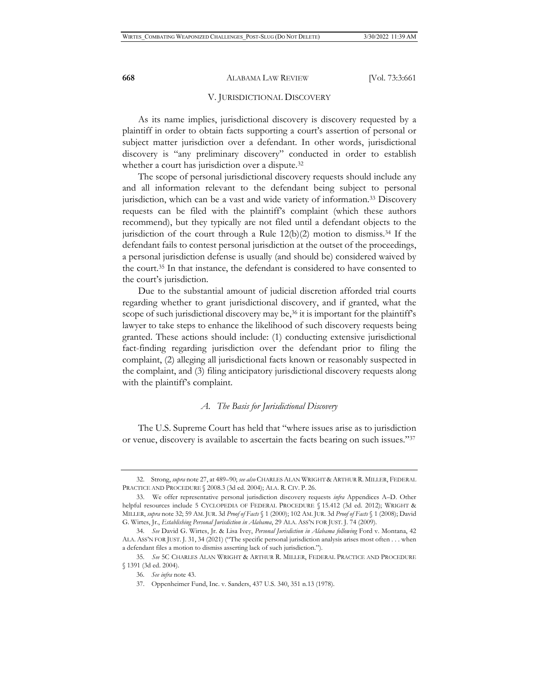#### V. JURISDICTIONAL DISCOVERY

As its name implies, jurisdictional discovery is discovery requested by a plaintiff in order to obtain facts supporting a court's assertion of personal or subject matter jurisdiction over a defendant. In other words, jurisdictional discovery is "any preliminary discovery" conducted in order to establish whether a court has jurisdiction over a dispute.32

The scope of personal jurisdictional discovery requests should include any and all information relevant to the defendant being subject to personal jurisdiction, which can be a vast and wide variety of information.33 Discovery requests can be filed with the plaintiff's complaint (which these authors recommend), but they typically are not filed until a defendant objects to the jurisdiction of the court through a Rule  $12(b)(2)$  motion to dismiss.<sup>34</sup> If the defendant fails to contest personal jurisdiction at the outset of the proceedings, a personal jurisdiction defense is usually (and should be) considered waived by the court.35 In that instance, the defendant is considered to have consented to the court's jurisdiction.

Due to the substantial amount of judicial discretion afforded trial courts regarding whether to grant jurisdictional discovery, and if granted, what the scope of such jurisdictional discovery may be,<sup>36</sup> it is important for the plaintiff's lawyer to take steps to enhance the likelihood of such discovery requests being granted. These actions should include: (1) conducting extensive jurisdictional fact-finding regarding jurisdiction over the defendant prior to filing the complaint, (2) alleging all jurisdictional facts known or reasonably suspected in the complaint, and (3) filing anticipatory jurisdictional discovery requests along with the plaintiff's complaint.

### *A. The Basis for Jurisdictional Discovery*

The U.S. Supreme Court has held that "where issues arise as to jurisdiction or venue, discovery is available to ascertain the facts bearing on such issues."37

<sup>32.</sup> Strong, *supra* note 27, at 489–90; *see also* CHARLES ALAN WRIGHT & ARTHUR R. MILLER, FEDERAL PRACTICE AND PROCEDURE § 2008.3 (3d ed. 2004); ALA. R. CIV. P. 26.

<sup>33.</sup> We offer representative personal jurisdiction discovery requests *infra* Appendices A–D. Other helpful resources include 5 CYCLOPEDIA OF FEDERAL PROCEDURE § 15.412 (3d ed. 2012); WRIGHT & MILLER, *supra* note 32; 59 AM. JUR. 3d *Proof of Facts* § 1 (2000); 102 AM. JUR. 3d *Proof of Facts* § 1 (2008); David G. Wirtes, Jr., *Establishing Personal Jurisdiction in Alabama*, 29 ALA. ASS'N FOR JUST. J. 74 (2009).

<sup>34.</sup> *See* David G. Wirtes, Jr. & Lisa Ivey, *Personal Jurisdiction in Alabama following* Ford v. Montana, 42 ALA. ASS'N FOR JUST. J. 31, 34 (2021) ("The specific personal jurisdiction analysis arises most often . . . when a defendant files a motion to dismiss asserting lack of such jurisdiction.").

<sup>35.</sup> *See* 5C CHARLES ALAN WRIGHT & ARTHUR R. MILLER, FEDERAL PRACTICE AND PROCEDURE § 1391 (3d ed. 2004).

<sup>36.</sup> *See infra* note 43.

<sup>37.</sup> Oppenheimer Fund, Inc. v. Sanders, 437 U.S. 340, 351 n.13 (1978).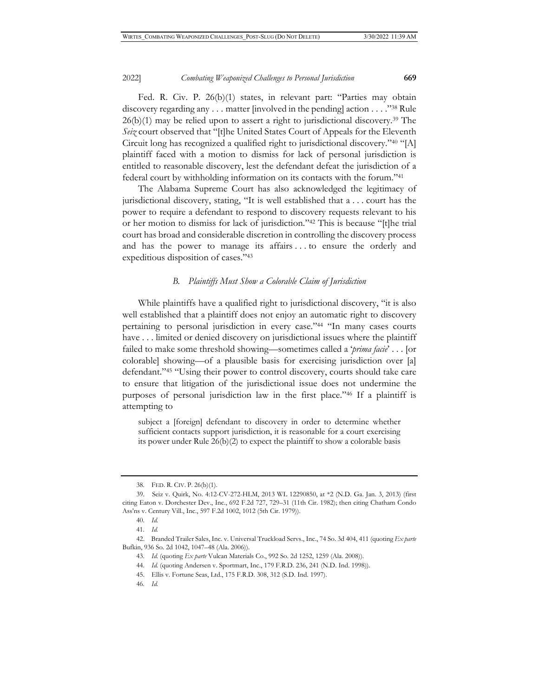Fed. R. Civ. P. 26(b)(1) states, in relevant part: "Parties may obtain discovery regarding any . . . matter [involved in the pending] action . . . ."38 Rule  $26(b)(1)$  may be relied upon to assert a right to jurisdictional discovery.<sup>39</sup> The *Seiz* court observed that "[t]he United States Court of Appeals for the Eleventh Circuit long has recognized a qualified right to jurisdictional discovery."40 "[A] plaintiff faced with a motion to dismiss for lack of personal jurisdiction is entitled to reasonable discovery, lest the defendant defeat the jurisdiction of a federal court by withholding information on its contacts with the forum."41

The Alabama Supreme Court has also acknowledged the legitimacy of jurisdictional discovery, stating, "It is well established that a . . . court has the power to require a defendant to respond to discovery requests relevant to his or her motion to dismiss for lack of jurisdiction."42 This is because "[t]he trial court has broad and considerable discretion in controlling the discovery process and has the power to manage its affairs . . . to ensure the orderly and expeditious disposition of cases."43

### *B. Plaintiffs Must Show a Colorable Claim of Jurisdiction*

While plaintiffs have a qualified right to jurisdictional discovery, "it is also well established that a plaintiff does not enjoy an automatic right to discovery pertaining to personal jurisdiction in every case."44 "In many cases courts have . . . limited or denied discovery on jurisdictional issues where the plaintiff failed to make some threshold showing—sometimes called a '*prima facie*' . . . [or colorable] showing—of a plausible basis for exercising jurisdiction over [a] defendant."45 "Using their power to control discovery, courts should take care to ensure that litigation of the jurisdictional issue does not undermine the purposes of personal jurisdiction law in the first place."46 If a plaintiff is attempting to

subject a [foreign] defendant to discovery in order to determine whether sufficient contacts support jurisdiction, it is reasonable for a court exercising its power under Rule 26(b)(2) to expect the plaintiff to show a colorable basis

<sup>38.</sup> FED. R. CIV. P. 26(b)(1).

<sup>39.</sup> Seiz v. Quirk, No. 4:12-CV-272-HLM, 2013 WL 12290850, at \*2 (N.D. Ga. Jan. 3, 2013) (first citing Eaton v. Dorchester Dev., Inc., 692 F.2d 727, 729–31 (11th Cir. 1982); then citing Chatham Condo Ass'ns v. Century Vill., Inc., 597 F.2d 1002, 1012 (5th Cir. 1979)).

<sup>40.</sup> *Id.* 

<sup>41.</sup> *Id.*

<sup>42.</sup> Branded Trailer Sales, Inc. v. Universal Truckload Servs., Inc., 74 So. 3d 404, 411 (quoting *Ex parte*  Bufkin, 936 So. 2d 1042, 1047–48 (Ala. 2006)).

<sup>43.</sup> *Id.* (quoting *Ex parte* Vulcan Materials Co., 992 So. 2d 1252, 1259 (Ala. 2008)).

<sup>44.</sup> *Id.* (quoting Andersen v. Sportmart, Inc., 179 F.R.D. 236, 241 (N.D. Ind. 1998)).

<sup>45.</sup> Ellis v. Fortune Seas, Ltd., 175 F.R.D. 308, 312 (S.D. Ind. 1997).

<sup>46.</sup> *Id.*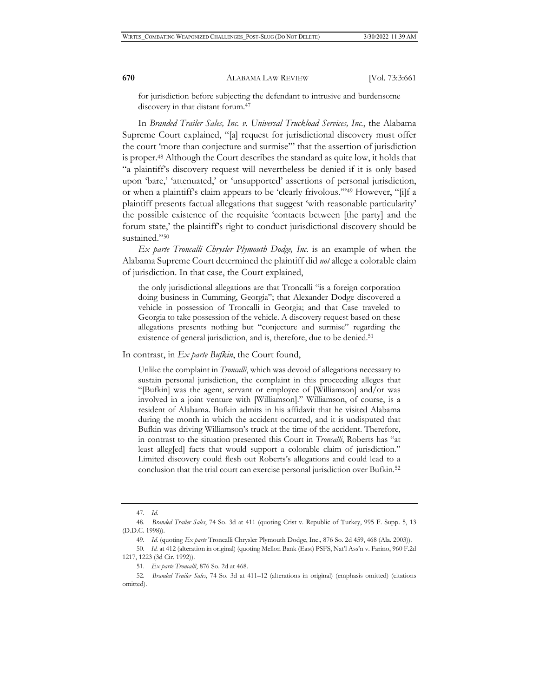for jurisdiction before subjecting the defendant to intrusive and burdensome discovery in that distant forum.47

In *Branded Trailer Sales, Inc. v. Universal Truckload Services, Inc.*, the Alabama Supreme Court explained, "[a] request for jurisdictional discovery must offer the court 'more than conjecture and surmise'" that the assertion of jurisdiction is proper.48 Although the Court describes the standard as quite low, it holds that "a plaintiff's discovery request will nevertheless be denied if it is only based upon 'bare,' 'attenuated,' or 'unsupported' assertions of personal jurisdiction, or when a plaintiff's claim appears to be 'clearly frivolous.'"49 However, "[i]f a plaintiff presents factual allegations that suggest 'with reasonable particularity' the possible existence of the requisite 'contacts between [the party] and the forum state,' the plaintiff's right to conduct jurisdictional discovery should be sustained."50

*Ex parte Troncalli Chrysler Plymouth Dodge, Inc.* is an example of when the Alabama Supreme Court determined the plaintiff did *not* allege a colorable claim of jurisdiction. In that case, the Court explained,

the only jurisdictional allegations are that Troncalli "is a foreign corporation doing business in Cumming, Georgia"; that Alexander Dodge discovered a vehicle in possession of Troncalli in Georgia; and that Case traveled to Georgia to take possession of the vehicle. A discovery request based on these allegations presents nothing but "conjecture and surmise" regarding the existence of general jurisdiction, and is, therefore, due to be denied.<sup>51</sup>

In contrast, in *Ex parte Bufkin*, the Court found,

Unlike the complaint in *Troncalli*, which was devoid of allegations necessary to sustain personal jurisdiction, the complaint in this proceeding alleges that "[Bufkin] was the agent, servant or employee of [Williamson] and/or was involved in a joint venture with [Williamson]." Williamson, of course, is a resident of Alabama. Bufkin admits in his affidavit that he visited Alabama during the month in which the accident occurred, and it is undisputed that Bufkin was driving Williamson's truck at the time of the accident. Therefore, in contrast to the situation presented this Court in *Troncalli*, Roberts has "at least alleg[ed] facts that would support a colorable claim of jurisdiction." Limited discovery could flesh out Roberts's allegations and could lead to a conclusion that the trial court can exercise personal jurisdiction over Bufkin.52

<sup>47.</sup> *Id.* 

<sup>48.</sup> *Branded Trailer Sales*, 74 So. 3d at 411 (quoting Crist v. Republic of Turkey, 995 F. Supp. 5, 13 (D.D.C. 1998)).

<sup>49.</sup> *Id.* (quoting *Ex parte* Troncalli Chrysler Plymouth Dodge, Inc., 876 So. 2d 459, 468 (Ala. 2003)).

<sup>50.</sup> *Id.* at 412 (alteration in original) (quoting Mellon Bank (East) PSFS, Nat'l Ass'n v. Farino, 960 F.2d 1217, 1223 (3d Cir. 1992)).

<sup>51.</sup> *Ex parte Troncalli*, 876 So. 2d at 468.

<sup>52.</sup> *Branded Trailer Sales*, 74 So. 3d at 411–12 (alterations in original) (emphasis omitted) (citations omitted).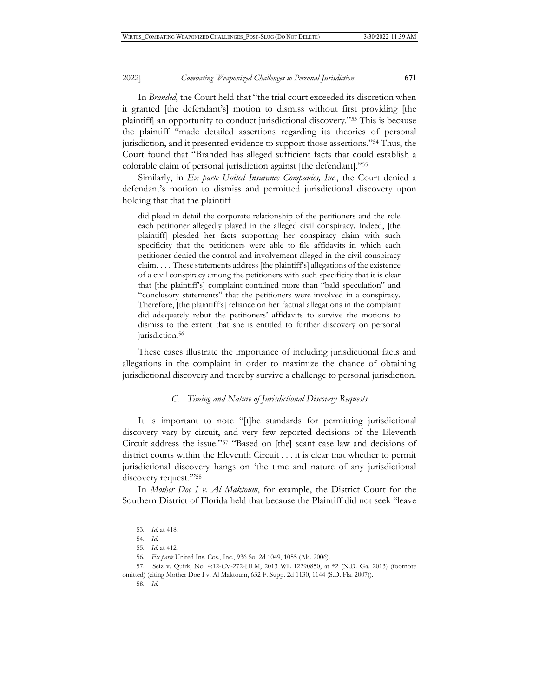In *Branded*, the Court held that "the trial court exceeded its discretion when it granted [the defendant's] motion to dismiss without first providing [the plaintiff] an opportunity to conduct jurisdictional discovery."53 This is because the plaintiff "made detailed assertions regarding its theories of personal jurisdiction, and it presented evidence to support those assertions."54 Thus, the Court found that "Branded has alleged sufficient facts that could establish a colorable claim of personal jurisdiction against [the defendant]."55

Similarly, in *Ex parte United Insurance Companies, Inc.*, the Court denied a defendant's motion to dismiss and permitted jurisdictional discovery upon holding that that the plaintiff

did plead in detail the corporate relationship of the petitioners and the role each petitioner allegedly played in the alleged civil conspiracy. Indeed, [the plaintiff] pleaded her facts supporting her conspiracy claim with such specificity that the petitioners were able to file affidavits in which each petitioner denied the control and involvement alleged in the civil-conspiracy claim. . . . These statements address [the plaintiff's] allegations of the existence of a civil conspiracy among the petitioners with such specificity that it is clear that [the plaintiff's] complaint contained more than "bald speculation" and "conclusory statements" that the petitioners were involved in a conspiracy. Therefore, [the plaintiff's] reliance on her factual allegations in the complaint did adequately rebut the petitioners' affidavits to survive the motions to dismiss to the extent that she is entitled to further discovery on personal jurisdiction.<sup>56</sup>

These cases illustrate the importance of including jurisdictional facts and allegations in the complaint in order to maximize the chance of obtaining jurisdictional discovery and thereby survive a challenge to personal jurisdiction.

#### *C. Timing and Nature of Jurisdictional Discovery Requests*

It is important to note "[t]he standards for permitting jurisdictional discovery vary by circuit, and very few reported decisions of the Eleventh Circuit address the issue."57 "Based on [the] scant case law and decisions of district courts within the Eleventh Circuit . . . it is clear that whether to permit jurisdictional discovery hangs on 'the time and nature of any jurisdictional discovery request."'<sup>58</sup>

In *Mother Doe I v. Al Maktoum*, for example, the District Court for the Southern District of Florida held that because the Plaintiff did not seek "leave

<sup>53.</sup> *Id.* at 418.

<sup>54.</sup> *Id.*

<sup>55.</sup> *Id.* at 412.

<sup>56</sup>*. Ex parte* United Ins. Cos., Inc., 936 So. 2d 1049, 1055 (Ala. 2006).

<sup>57.</sup> Seiz v. Quirk, No. 4:12-CV-272-HLM, 2013 WL 12290850, at \*2 (N.D. Ga. 2013) (footnote omitted) (citing Mother Doe I v. Al Maktoum, 632 F. Supp. 2d 1130, 1144 (S.D. Fla. 2007)).

<sup>58.</sup> *Id.*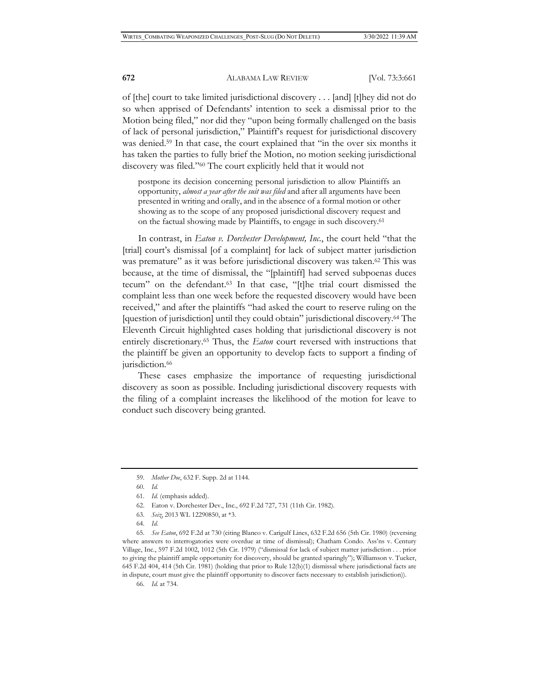of [the] court to take limited jurisdictional discovery . . . [and] [t]hey did not do so when apprised of Defendants' intention to seek a dismissal prior to the Motion being filed," nor did they "upon being formally challenged on the basis of lack of personal jurisdiction," Plaintiff's request for jurisdictional discovery was denied.<sup>59</sup> In that case, the court explained that "in the over six months it has taken the parties to fully brief the Motion, no motion seeking jurisdictional discovery was filed."60 The court explicitly held that it would not

postpone its decision concerning personal jurisdiction to allow Plaintiffs an opportunity, *almost a year after the suit was filed* and after all arguments have been presented in writing and orally, and in the absence of a formal motion or other showing as to the scope of any proposed jurisdictional discovery request and on the factual showing made by Plaintiffs, to engage in such discovery.61

In contrast, in *Eaton v. Dorchester Development, Inc.*, the court held "that the [trial] court's dismissal [of a complaint] for lack of subject matter jurisdiction was premature" as it was before jurisdictional discovery was taken.<sup>62</sup> This was because, at the time of dismissal, the "[plaintiff] had served subpoenas duces tecum" on the defendant.63 In that case, "[t]he trial court dismissed the complaint less than one week before the requested discovery would have been received," and after the plaintiffs "had asked the court to reserve ruling on the [question of jurisdiction] until they could obtain" jurisdictional discovery.64 The Eleventh Circuit highlighted cases holding that jurisdictional discovery is not entirely discretionary.65 Thus, the *Eaton* court reversed with instructions that the plaintiff be given an opportunity to develop facts to support a finding of jurisdiction.<sup>66</sup>

These cases emphasize the importance of requesting jurisdictional discovery as soon as possible. Including jurisdictional discovery requests with the filing of a complaint increases the likelihood of the motion for leave to conduct such discovery being granted.

63. *Seiz*, 2013 WL 12290850, at \*3.

66. *Id.* at 734.

<sup>59.</sup> *Mother Doe*, 632 F. Supp. 2d at 1144.

<sup>60.</sup> *Id.*

<sup>61.</sup> *Id.* (emphasis added).

<sup>62.</sup> Eaton v. Dorchester Dev., Inc., 692 F.2d 727, 731 (11th Cir. 1982).

<sup>64.</sup> *Id.* 

<sup>65.</sup> *See Eaton*, 692 F.2d at 730 (citing Blanco v. Carigulf Lines, 632 F.2d 656 (5th Cir. 1980) (reversing where answers to interrogatories were overdue at time of dismissal); Chatham Condo. Ass'ns v. Century Village, Inc., 597 F.2d 1002, 1012 (5th Cir. 1979) ("dismissal for lack of subject matter jurisdiction . . . prior to giving the plaintiff ample opportunity for discovery, should be granted sparingly"); Williamson v. Tucker, 645 F.2d 404, 414 (5th Cir. 1981) (holding that prior to Rule 12(b)(1) dismissal where jurisdictional facts are in dispute, court must give the plaintiff opportunity to discover facts necessary to establish jurisdiction)).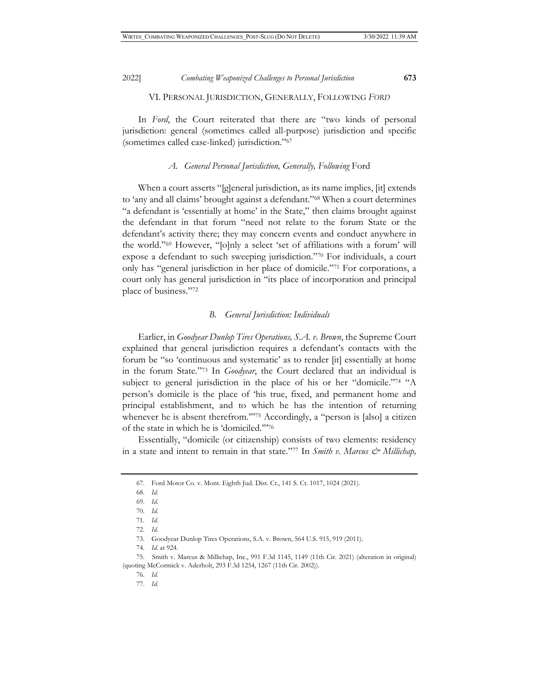In *Ford*, the Court reiterated that there are "two kinds of personal jurisdiction: general (sometimes called all-purpose) jurisdiction and specific (sometimes called case-linked) jurisdiction."67

#### A. General Personal Jurisdiction, Generally, Following Ford

When a court asserts "[g]eneral jurisdiction, as its name implies, [it] extends to 'any and all claims' brought against a defendant."68 When a court determines "a defendant is 'essentially at home' in the State," then claims brought against the defendant in that forum "need not relate to the forum State or the defendant's activity there; they may concern events and conduct anywhere in the world."69 However, "[o]nly a select 'set of affiliations with a forum' will expose a defendant to such sweeping jurisdiction."70 For individuals, a court only has "general jurisdiction in her place of domicile."71 For corporations, a court only has general jurisdiction in "its place of incorporation and principal place of business."72

#### *B. General Jurisdiction: Individuals*

Earlier, in *Goodyear Dunlop Tires Operations, S.A. v. Brown*, the Supreme Court explained that general jurisdiction requires a defendant's contacts with the forum be "so 'continuous and systematic' as to render [it] essentially at home in the forum State."73 In *Goodyear*, the Court declared that an individual is subject to general jurisdiction in the place of his or her "domicile."<sup>74</sup> "A person's domicile is the place of 'his true, fixed, and permanent home and principal establishment, and to which he has the intention of returning whenever he is absent therefrom."<sup>75</sup> Accordingly, a "person is [also] a citizen of the state in which he is 'domiciled.'"76

Essentially, "domicile (or citizenship) consists of two elements: residency in a state and intent to remain in that state."<sup>77</sup> In *Smith v. Marcus & Millichap*,

75. Smith v. Marcus & Millichap, Inc., 991 F.3d 1145, 1149 (11th Cir. 2021) (alteration in original) (quoting McCormick v. Aderholt, 293 F.3d 1254, 1267 (11th Cir. 2002)).

<sup>67.</sup> Ford Motor Co. v. Mont. Eighth Jud. Dist. Ct., 141 S. Ct. 1017, 1024 (2021).

<sup>68.</sup> *Id.*

<sup>69.</sup> *Id.*

<sup>70.</sup> *Id.*

<sup>71.</sup> *Id.*

<sup>72.</sup> *Id.*

<sup>73.</sup> Goodyear Dunlop Tires Operations, S.A. v. Brown, 564 U.S. 915, 919 (2011).

<sup>74.</sup> *Id.* at 924.

<sup>76.</sup> *Id.* 

<sup>77.</sup> *Id.*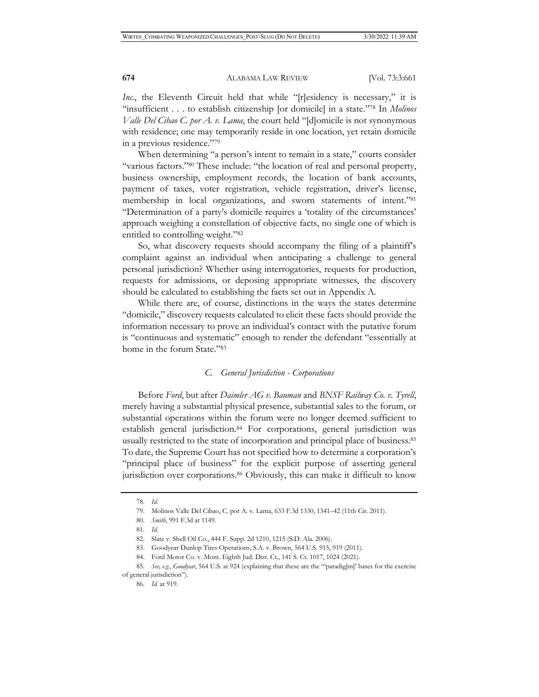*Inc.*, the Eleventh Circuit held that while "[r]esidency is necessary," it is "insufficient . . . to establish citizenship [or domicile] in a state."78 In *Molinos Valle Del Cibao C. por A. v. Lama*, the court held "[d]omicile is not synonymous with residence; one may temporarily reside in one location, yet retain domicile in a previous residence."79

When determining "a person's intent to remain in a state," courts consider "various factors."80 These include: "the location of real and personal property, business ownership, employment records, the location of bank accounts, payment of taxes, voter registration, vehicle registration, driver's license, membership in local organizations, and sworn statements of intent."81 "Determination of a party's domicile requires a 'totality of the circumstances' approach weighing a constellation of objective facts, no single one of which is entitled to controlling weight."82

So, what discovery requests should accompany the filing of a plaintiff's complaint against an individual when anticipating a challenge to general personal jurisdiction? Whether using interrogatories, requests for production, requests for admissions, or deposing appropriate witnesses, the discovery should be calculated to establishing the facts set out in Appendix A.

While there are, of course, distinctions in the ways the states determine "domicile," discovery requests calculated to elicit these facts should provide the information necessary to prove an individual's contact with the putative forum is "continuous and systematic" enough to render the defendant "essentially at home in the forum State."83

#### *C. General Jurisdiction - Corporations*

Before *Ford*, but after *Daimler AG v. Bauman* and *BNSF Railway Co. v. Tyrell*, merely having a substantial physical presence, substantial sales to the forum, or substantial operations within the forum were no longer deemed sufficient to establish general jurisdiction.84 For corporations, general jurisdiction was usually restricted to the state of incorporation and principal place of business.85 To date, the Supreme Court has not specified how to determine a corporation's "principal place of business" for the explicit purpose of asserting general jurisdiction over corporations.<sup>86</sup> Obviously, this can make it difficult to know

85. *See, e.g.*, *Goodyear*, 564 U.S. at 924 (explaining that these are the "'paradig[m]' bases for the exercise of general jurisdiction").

<sup>78.</sup> *Id.*

<sup>79.</sup> Molinos Valle Del Cibao, C. por A. v. Lama, 633 F.3d 1330, 1341–42 (11th Cir. 2011).

<sup>80.</sup> *Smith*, 991 F.3d at 1149.

<sup>81.</sup> *Id.*

<sup>82.</sup> Slate v. Shell Oil Co., 444 F. Supp. 2d 1210, 1215 (S.D. Ala. 2006).

<sup>83.</sup> Goodyear Dunlop Tires Operations, S.A. v. Brown, 564 U.S. 915, 919 (2011).

<sup>84.</sup> Ford Motor Co. v. Mont. Eighth Jud. Dist. Ct., 141 S. Ct. 1017, 1024 (2021).

<sup>86.</sup> *Id.* at 919.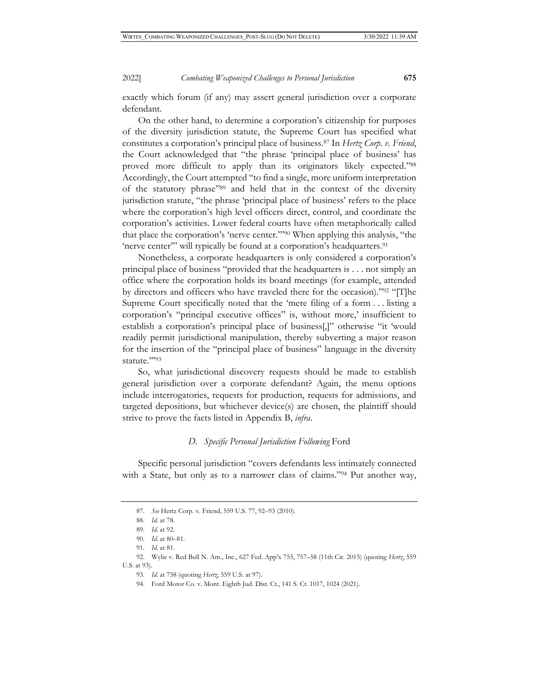exactly which forum (if any) may assert general jurisdiction over a corporate defendant.

On the other hand, to determine a corporation's citizenship for purposes of the diversity jurisdiction statute, the Supreme Court has specified what constitutes a corporation's principal place of business.87 In *Hertz Corp. v. Friend*, the Court acknowledged that "the phrase 'principal place of business' has proved more difficult to apply than its originators likely expected."88 Accordingly, the Court attempted "to find a single, more uniform interpretation of the statutory phrase"89 and held that in the context of the diversity jurisdiction statute, "the phrase 'principal place of business' refers to the place where the corporation's high level officers direct, control, and coordinate the corporation's activities. Lower federal courts have often metaphorically called that place the corporation's 'nerve center.'"90 When applying this analysis, "the 'nerve center'" will typically be found at a corporation's headquarters.<sup>91</sup>

Nonetheless, a corporate headquarters is only considered a corporation's principal place of business "provided that the headquarters is . . . not simply an office where the corporation holds its board meetings (for example, attended by directors and officers who have traveled there for the occasion)."92 "[T]he Supreme Court specifically noted that the 'mere filing of a form . . . listing a corporation's "principal executive offices" is, without more,' insufficient to establish a corporation's principal place of business[,]" otherwise "it 'would readily permit jurisdictional manipulation, thereby subverting a major reason for the insertion of the "principal place of business" language in the diversity statute.""93

So, what jurisdictional discovery requests should be made to establish general jurisdiction over a corporate defendant? Again, the menu options include interrogatories, requests for production, requests for admissions, and targeted depositions, but whichever device(s) are chosen, the plaintiff should strive to prove the facts listed in Appendix B, *infra*.

#### *D. Specific Personal Jurisdiction Following* Ford

Specific personal jurisdiction "covers defendants less intimately connected with a State, but only as to a narrower class of claims."<sup>94</sup> Put another way,

<sup>87.</sup> *See* Hertz Corp. v. Friend, 559 U.S. 77, 92–93 (2010).

<sup>88.</sup> *Id.* at 78.

<sup>89.</sup> *Id.* at 92.

<sup>90.</sup> *Id.* at 80–81.

<sup>91.</sup> *Id.* at 81.

<sup>92.</sup> Wylie v. Red Bull N. Am., Inc., 627 Fed. App'x 755, 757–58 (11th Cir. 2015) (quoting *Hertz*, 559 U.S. at 93).

<sup>93.</sup> *Id.* at 758 (quoting *Hertz*, 559 U.S. at 97).

<sup>94.</sup> Ford Motor Co. v. Mont. Eighth Jud. Dist. Ct., 141 S. Ct. 1017, 1024 (2021).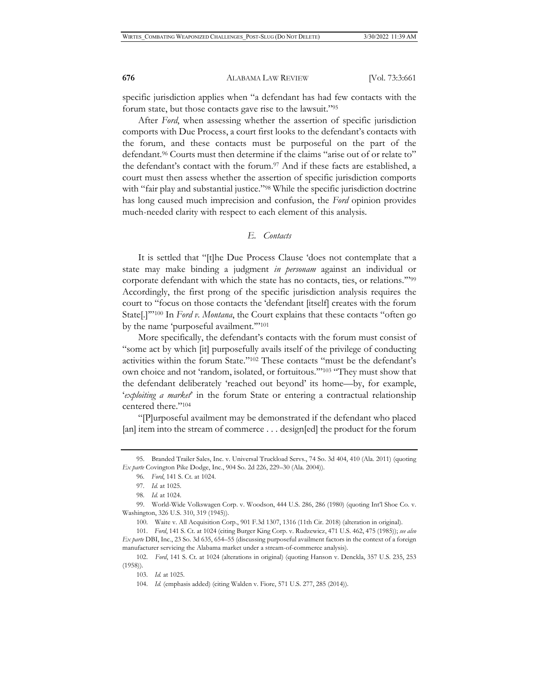specific jurisdiction applies when "a defendant has had few contacts with the forum state, but those contacts gave rise to the lawsuit."95

After *Ford*, when assessing whether the assertion of specific jurisdiction comports with Due Process, a court first looks to the defendant's contacts with the forum, and these contacts must be purposeful on the part of the defendant.96 Courts must then determine if the claims "arise out of or relate to" the defendant's contact with the forum.97 And if these facts are established, a court must then assess whether the assertion of specific jurisdiction comports with "fair play and substantial justice."<sup>98</sup> While the specific jurisdiction doctrine has long caused much imprecision and confusion, the *Ford* opinion provides much-needed clarity with respect to each element of this analysis.

# *E. Contacts*

It is settled that "[t]he Due Process Clause 'does not contemplate that a state may make binding a judgment *in personam* against an individual or corporate defendant with which the state has no contacts, ties, or relations.'"99 Accordingly, the first prong of the specific jurisdiction analysis requires the court to "focus on those contacts the 'defendant [itself] creates with the forum State<sup>[1]"100</sup> In *Ford v. Montana*, the Court explains that these contacts "often go by the name 'purposeful availment.'"101

More specifically, the defendant's contacts with the forum must consist of "some act by which [it] purposefully avails itself of the privilege of conducting activities within the forum State."102 These contacts "must be the defendant's own choice and not 'random, isolated, or fortuitous.'"103 "They must show that the defendant deliberately 'reached out beyond' its home—by, for example, '*exploiting a market*' in the forum State or entering a contractual relationship centered there."104

"[P]urposeful availment may be demonstrated if the defendant who placed [an] item into the stream of commerce . . . design[ed] the product for the forum

<sup>95.</sup> Branded Trailer Sales, Inc. v. Universal Truckload Servs., 74 So. 3d 404, 410 (Ala. 2011) (quoting *Ex parte* Covington Pike Dodge, Inc., 904 So. 2d 226, 229–30 (Ala. 2004)).

<sup>96.</sup> *Ford*, 141 S. Ct. at 1024.

<sup>97.</sup> *Id.* at 1025.

<sup>98.</sup> *Id.* at 1024.

<sup>99.</sup> World-Wide Volkswagen Corp. v. Woodson, 444 U.S. 286, 286 (1980) (quoting Int'l Shoe Co. v. Washington, 326 U.S. 310, 319 (1945)).

<sup>100.</sup> Waite v. All Acquisition Corp., 901 F.3d 1307, 1316 (11th Cir. 2018) (alteration in original).

<sup>101.</sup> *Ford*, 141 S. Ct. at 1024 (citing Burger King Corp. v. Rudzewicz, 471 U.S. 462, 475 (1985)); *see also Ex parte* DBI, Inc., 23 So. 3d 635, 654–55 (discussing purposeful availment factors in the context of a foreign manufacturer servicing the Alabama market under a stream-of-commerce analysis).

<sup>102.</sup> *Ford*, 141 S. Ct. at 1024 (alterations in original) (quoting Hanson v. Denckla, 357 U.S. 235, 253 (1958)).

<sup>103.</sup> *Id.* at 1025.

<sup>104.</sup> *Id.* (emphasis added) (citing Walden v. Fiore, 571 U.S. 277, 285 (2014)).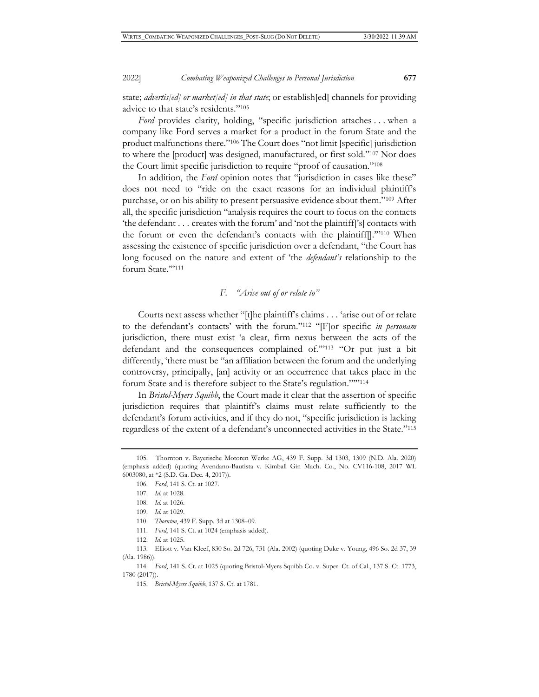state; *advertis[ed] or market[ed] in that state*; or establish[ed] channels for providing advice to that state's residents."105

*Ford* provides clarity, holding, "specific jurisdiction attaches . . . when a company like Ford serves a market for a product in the forum State and the product malfunctions there."106 The Court does "not limit [specific] jurisdiction to where the [product] was designed, manufactured, or first sold."107 Nor does the Court limit specific jurisdiction to require "proof of causation."108

In addition, the *Ford* opinion notes that "jurisdiction in cases like these" does not need to "ride on the exact reasons for an individual plaintiff's purchase, or on his ability to present persuasive evidence about them."109 After all, the specific jurisdiction "analysis requires the court to focus on the contacts 'the defendant . . . creates with the forum' and 'not the plaintiff['s] contacts with the forum or even the defendant's contacts with the plaintiff[].'"110 When assessing the existence of specific jurisdiction over a defendant, "the Court has long focused on the nature and extent of 'the *defendant's* relationship to the forum State."'111

# *F. "Arise out of or relate to"*

Courts next assess whether "[t]he plaintiff's claims . . . 'arise out of or relate to the defendant's contacts' with the forum."112 "[F]or specific *in personam* jurisdiction, there must exist 'a clear, firm nexus between the acts of the defendant and the consequences complained of.'"113 "Or put just a bit differently, 'there must be "an affiliation between the forum and the underlying controversy, principally, [an] activity or an occurrence that takes place in the forum State and is therefore subject to the State's regulation."'"114

In *Bristol-Myers Squibb*, the Court made it clear that the assertion of specific jurisdiction requires that plaintiff's claims must relate sufficiently to the defendant's forum activities, and if they do not, "specific jurisdiction is lacking regardless of the extent of a defendant's unconnected activities in the State."115

- 111. *Ford*, 141 S. Ct. at 1024 (emphasis added).
- 112. *Id.* at 1025.

<sup>105.</sup> Thornton v. Bayerische Motoren Werke AG, 439 F. Supp. 3d 1303, 1309 (N.D. Ala. 2020) (emphasis added) (quoting Avendano-Bautista v. Kimball Gin Mach. Co., No. CV116-108, 2017 WL 6003080, at \*2 (S.D. Ga. Dec. 4, 2017)).

<sup>106.</sup> *Ford*, 141 S. Ct. at 1027.

<sup>107.</sup> *Id.* at 1028.

<sup>108.</sup> *Id.* at 1026.

<sup>109.</sup> *Id.* at 1029.

<sup>110.</sup> *Thornton*, 439 F. Supp. 3d at 1308–09.

<sup>113.</sup> Elliott v. Van Kleef, 830 So. 2d 726, 731 (Ala. 2002) (quoting Duke v. Young, 496 So. 2d 37, 39 (Ala. 1986)).

<sup>114.</sup> *Ford*, 141 S. Ct. at 1025 (quoting Bristol-Myers Squibb Co. v. Super. Ct. of Cal., 137 S. Ct. 1773, 1780 (2017)).

<sup>115.</sup> *Bristol-Myers Squibb*, 137 S. Ct. at 1781.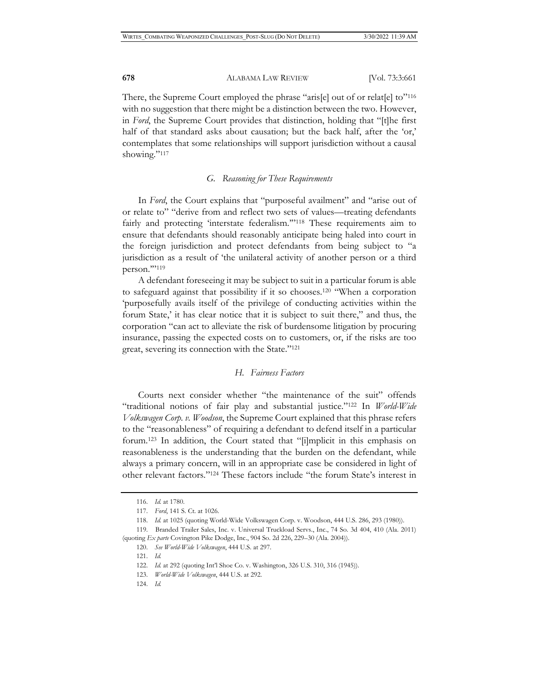There, the Supreme Court employed the phrase "aris[e] out of or relat[e] to"<sup>116</sup> with no suggestion that there might be a distinction between the two. However, in *Ford*, the Supreme Court provides that distinction, holding that "[t]he first half of that standard asks about causation; but the back half, after the 'or,' contemplates that some relationships will support jurisdiction without a causal showing."<sup>117</sup>

#### *G. Reasoning for These Requirements*

In *Ford*, the Court explains that "purposeful availment" and "arise out of or relate to" "derive from and reflect two sets of values—treating defendants fairly and protecting 'interstate federalism."<sup>118</sup> These requirements aim to ensure that defendants should reasonably anticipate being haled into court in the foreign jurisdiction and protect defendants from being subject to "a jurisdiction as a result of 'the unilateral activity of another person or a third person."'<sup>119</sup>

A defendant foreseeing it may be subject to suit in a particular forum is able to safeguard against that possibility if it so chooses.120 "When a corporation 'purposefully avails itself of the privilege of conducting activities within the forum State,' it has clear notice that it is subject to suit there," and thus, the corporation "can act to alleviate the risk of burdensome litigation by procuring insurance, passing the expected costs on to customers, or, if the risks are too great, severing its connection with the State."121

#### *H. Fairness Factors*

Courts next consider whether "the maintenance of the suit" offends "traditional notions of fair play and substantial justice."122 In *World-Wide Volkswagen Corp. v. Woodson*, the Supreme Court explained that this phrase refers to the "reasonableness" of requiring a defendant to defend itself in a particular forum.123 In addition, the Court stated that "[i]mplicit in this emphasis on reasonableness is the understanding that the burden on the defendant, while always a primary concern, will in an appropriate case be considered in light of other relevant factors."124 These factors include "the forum State's interest in

124. *Id.*

<sup>116.</sup> *Id.* at 1780.

<sup>117.</sup> *Ford*, 141 S. Ct. at 1026.

<sup>118.</sup> *Id.* at 1025 (quoting World-Wide Volkswagen Corp. v. Woodson, 444 U.S. 286, 293 (1980)).

<sup>119.</sup> Branded Trailer Sales, Inc. v. Universal Truckload Servs., Inc., 74 So. 3d 404, 410 (Ala. 2011) (quoting *Ex parte* Covington Pike Dodge, Inc., 904 So. 2d 226, 229–30 (Ala. 2004)).

<sup>120.</sup> *See World-Wide Volkswagen*, 444 U.S. at 297.

<sup>121.</sup> *Id.*

<sup>122.</sup> *Id.* at 292 (quoting Int'l Shoe Co. v. Washington, 326 U.S. 310, 316 (1945)).

<sup>123.</sup> *World-Wide Volkswagen*, 444 U.S. at 292.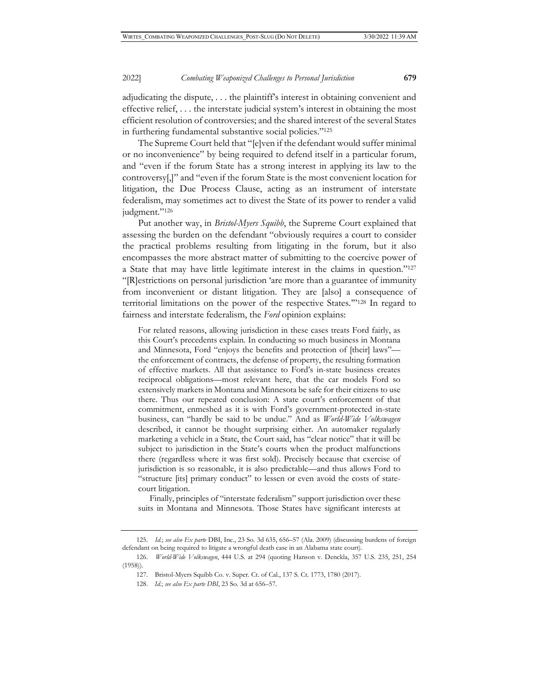#### 2022] *Combating Weaponized Challenges to Personal Jurisdiction* **679**

adjudicating the dispute, . . . the plaintiff's interest in obtaining convenient and effective relief, . . . the interstate judicial system's interest in obtaining the most efficient resolution of controversies; and the shared interest of the several States in furthering fundamental substantive social policies."125

The Supreme Court held that "[e]ven if the defendant would suffer minimal or no inconvenience" by being required to defend itself in a particular forum, and "even if the forum State has a strong interest in applying its law to the controversy[,]" and "even if the forum State is the most convenient location for litigation, the Due Process Clause, acting as an instrument of interstate federalism, may sometimes act to divest the State of its power to render a valid judgment."<sup>126</sup>

Put another way, in *Bristol-Myers Squibb*, the Supreme Court explained that assessing the burden on the defendant "obviously requires a court to consider the practical problems resulting from litigating in the forum, but it also encompasses the more abstract matter of submitting to the coercive power of a State that may have little legitimate interest in the claims in question."127 "[R]estrictions on personal jurisdiction 'are more than a guarantee of immunity from inconvenient or distant litigation. They are [also] a consequence of territorial limitations on the power of the respective States.'"128 In regard to fairness and interstate federalism, the *Ford* opinion explains:

For related reasons, allowing jurisdiction in these cases treats Ford fairly, as this Court's precedents explain. In conducting so much business in Montana and Minnesota, Ford "enjoys the benefits and protection of [their] laws" the enforcement of contracts, the defense of property, the resulting formation of effective markets. All that assistance to Ford's in-state business creates reciprocal obligations—most relevant here, that the car models Ford so extensively markets in Montana and Minnesota be safe for their citizens to use there. Thus our repeated conclusion: A state court's enforcement of that commitment, enmeshed as it is with Ford's government-protected in-state business, can "hardly be said to be undue." And as *World-Wide Volkswagen* described, it cannot be thought surprising either. An automaker regularly marketing a vehicle in a State, the Court said, has "clear notice" that it will be subject to jurisdiction in the State's courts when the product malfunctions there (regardless where it was first sold). Precisely because that exercise of jurisdiction is so reasonable, it is also predictable—and thus allows Ford to "structure [its] primary conduct" to lessen or even avoid the costs of statecourt litigation.

 Finally, principles of "interstate federalism" support jurisdiction over these suits in Montana and Minnesota. Those States have significant interests at

<sup>125.</sup> *Id.*; *see also Ex parte* DBI, Inc., 23 So. 3d 635, 656–57 (Ala. 2009) (discussing burdens of foreign defendant on being required to litigate a wrongful death case in an Alabama state court).

<sup>126.</sup> *World-Wide Volkswagen*, 444 U.S. at 294 (quoting Hanson v. Denckla, 357 U.S. 235, 251, 254 (1958)).

<sup>127.</sup> Bristol-Myers Squibb Co. v. Super. Ct. of Cal., 137 S. Ct. 1773, 1780 (2017).

<sup>128.</sup> *Id.*; *see also Ex parte DBI*, 23 So. 3d at 656–57.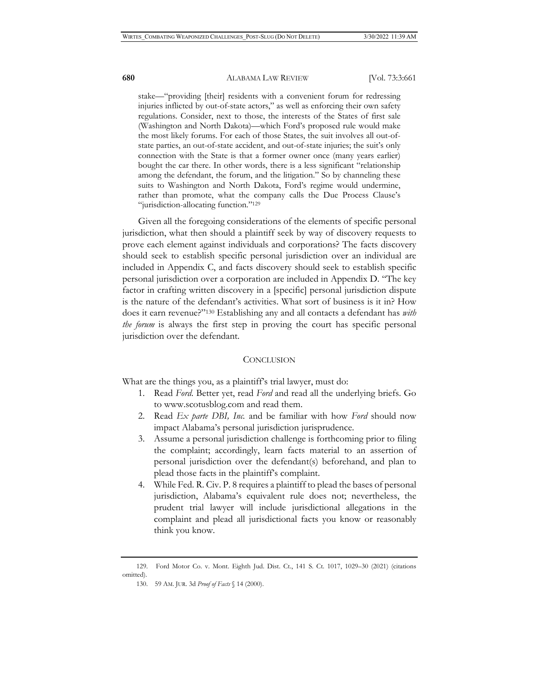#### **680** ALABAMA LAW REVIEW [Vol. 73:3:661

stake—"providing [their] residents with a convenient forum for redressing injuries inflicted by out-of-state actors," as well as enforcing their own safety regulations. Consider, next to those, the interests of the States of first sale (Washington and North Dakota)—which Ford's proposed rule would make the most likely forums. For each of those States, the suit involves all out-ofstate parties, an out-of-state accident, and out-of-state injuries; the suit's only connection with the State is that a former owner once (many years earlier) bought the car there. In other words, there is a less significant "relationship among the defendant, the forum, and the litigation." So by channeling these suits to Washington and North Dakota, Ford's regime would undermine, rather than promote, what the company calls the Due Process Clause's "jurisdiction-allocating function."129

Given all the foregoing considerations of the elements of specific personal jurisdiction, what then should a plaintiff seek by way of discovery requests to prove each element against individuals and corporations? The facts discovery should seek to establish specific personal jurisdiction over an individual are included in Appendix C, and facts discovery should seek to establish specific personal jurisdiction over a corporation are included in Appendix D. "The key factor in crafting written discovery in a [specific] personal jurisdiction dispute is the nature of the defendant's activities. What sort of business is it in? How does it earn revenue?"130 Establishing any and all contacts a defendant has *with the forum* is always the first step in proving the court has specific personal jurisdiction over the defendant.

#### **CONCLUSION**

What are the things you, as a plaintiff's trial lawyer, must do:

- 1. Read *Ford*. Better yet, read *Ford* and read all the underlying briefs. Go to www.scotusblog.com and read them.
- 2. Read *Ex parte DBI, Inc.* and be familiar with how *Ford* should now impact Alabama's personal jurisdiction jurisprudence.
- 3. Assume a personal jurisdiction challenge is forthcoming prior to filing the complaint; accordingly, learn facts material to an assertion of personal jurisdiction over the defendant(s) beforehand, and plan to plead those facts in the plaintiff's complaint.
- 4. While Fed. R. Civ. P. 8 requires a plaintiff to plead the bases of personal jurisdiction, Alabama's equivalent rule does not; nevertheless, the prudent trial lawyer will include jurisdictional allegations in the complaint and plead all jurisdictional facts you know or reasonably think you know.

<sup>129.</sup> Ford Motor Co. v. Mont. Eighth Jud. Dist. Ct., 141 S. Ct. 1017, 1029–30 (2021) (citations omitted).

<sup>130. 59</sup> AM. JUR. 3d *Proof of Facts* § 14 (2000).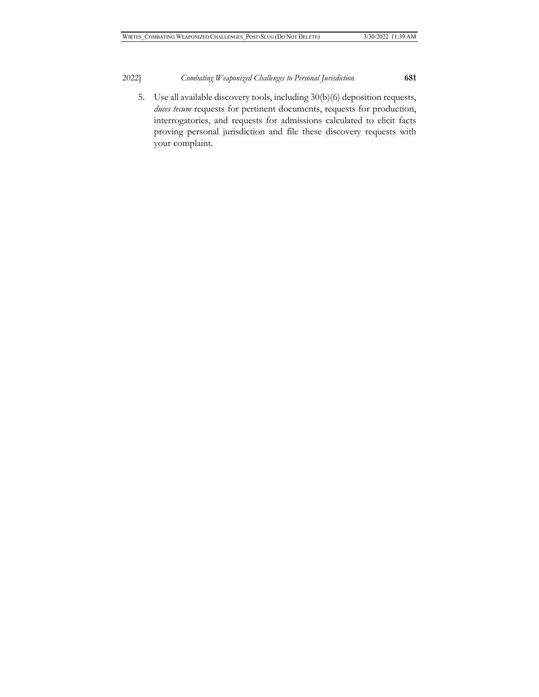5. Use all available discovery tools, including 30(b)(6) deposition requests, *duces tecum* requests for pertinent documents, requests for production, interrogatories, and requests for admissions calculated to elicit facts proving personal jurisdiction and file these discovery requests with your complaint.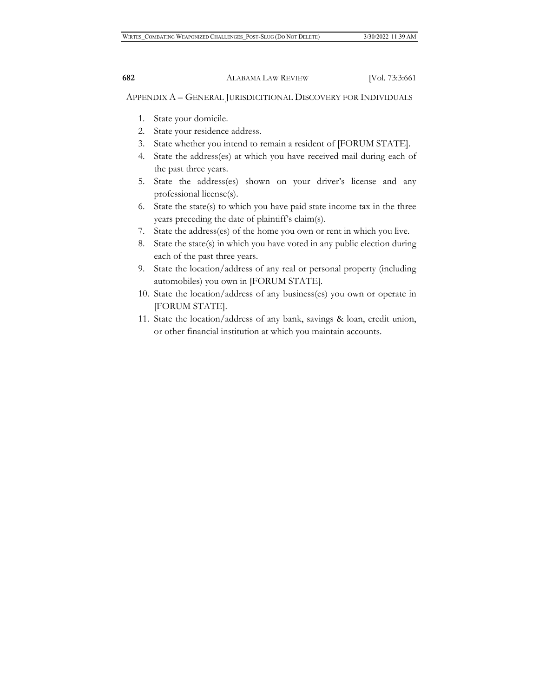APPENDIX A – GENERAL JURISDICITIONAL DISCOVERY FOR INDIVIDUALS

- 1. State your domicile.
- 2. State your residence address.
- 3. State whether you intend to remain a resident of [FORUM STATE].
- 4. State the address(es) at which you have received mail during each of the past three years.
- 5. State the address(es) shown on your driver's license and any professional license(s).
- 6. State the state(s) to which you have paid state income tax in the three years preceding the date of plaintiff's claim(s).
- 7. State the address(es) of the home you own or rent in which you live.
- 8. State the state(s) in which you have voted in any public election during each of the past three years.
- 9. State the location/address of any real or personal property (including automobiles) you own in [FORUM STATE].
- 10. State the location/address of any business(es) you own or operate in [FORUM STATE].
- 11. State the location/address of any bank, savings & loan, credit union, or other financial institution at which you maintain accounts.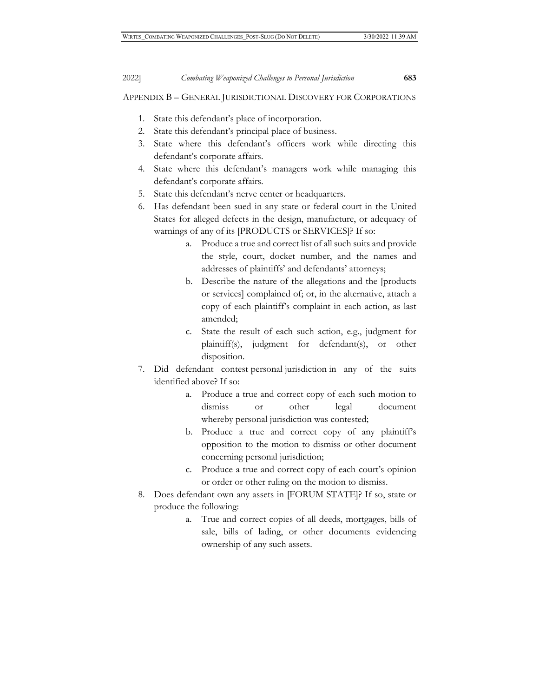APPENDIX B – GENERAL JURISDICTIONAL DISCOVERY FOR CORPORATIONS

- 1. State this defendant's place of incorporation.
- 2. State this defendant's principal place of business.
- 3. State where this defendant's officers work while directing this defendant's corporate affairs.
- 4. State where this defendant's managers work while managing this defendant's corporate affairs.
- 5. State this defendant's nerve center or headquarters.
- 6. Has defendant been sued in any state or federal court in the United States for alleged defects in the design, manufacture, or adequacy of warnings of any of its [PRODUCTS or SERVICES]? If so:
	- a. Produce a true and correct list of all such suits and provide the style, court, docket number, and the names and addresses of plaintiffs' and defendants' attorneys;
	- b. Describe the nature of the allegations and the [products or services] complained of; or, in the alternative, attach a copy of each plaintiff's complaint in each action, as last amended;
	- c. State the result of each such action, e.g., judgment for plaintiff(s), judgment for defendant(s), or other disposition.
- 7. Did defendant contest personal jurisdiction in any of the suits identified above? If so:
	- a. Produce a true and correct copy of each such motion to dismiss or other legal document whereby personal jurisdiction was contested;
	- b. Produce a true and correct copy of any plaintiff's opposition to the motion to dismiss or other document concerning personal jurisdiction;
	- c. Produce a true and correct copy of each court's opinion or order or other ruling on the motion to dismiss.
- 8. Does defendant own any assets in [FORUM STATE]? If so, state or produce the following:
	- a. True and correct copies of all deeds, mortgages, bills of sale, bills of lading, or other documents evidencing ownership of any such assets.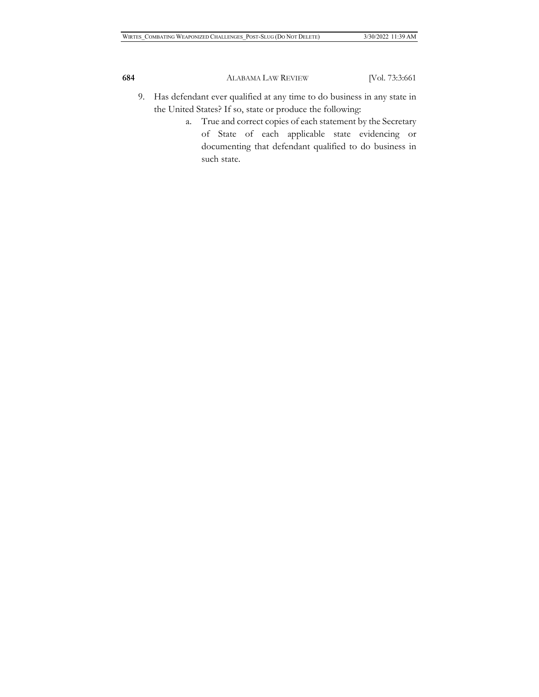- 9. Has defendant ever qualified at any time to do business in any state in the United States? If so, state or produce the following:
	- a. True and correct copies of each statement by the Secretary of State of each applicable state evidencing or documenting that defendant qualified to do business in such state.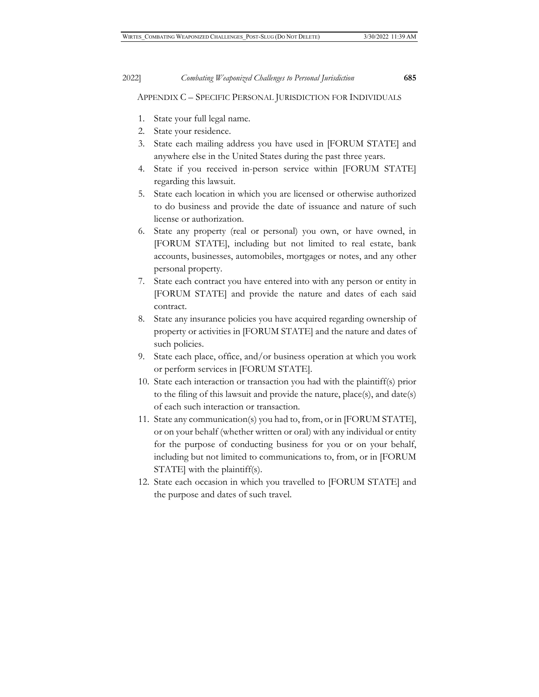APPENDIX C – SPECIFIC PERSONAL JURISDICTION FOR INDIVIDUALS

- 1. State your full legal name.
- 2. State your residence.
- 3. State each mailing address you have used in [FORUM STATE] and anywhere else in the United States during the past three years.
- 4. State if you received in-person service within [FORUM STATE] regarding this lawsuit.
- 5. State each location in which you are licensed or otherwise authorized to do business and provide the date of issuance and nature of such license or authorization.
- 6. State any property (real or personal) you own, or have owned, in [FORUM STATE], including but not limited to real estate, bank accounts, businesses, automobiles, mortgages or notes, and any other personal property.
- 7. State each contract you have entered into with any person or entity in [FORUM STATE] and provide the nature and dates of each said contract.
- 8. State any insurance policies you have acquired regarding ownership of property or activities in [FORUM STATE] and the nature and dates of such policies.
- 9. State each place, office, and/or business operation at which you work or perform services in [FORUM STATE].
- 10. State each interaction or transaction you had with the plaintiff(s) prior to the filing of this lawsuit and provide the nature, place(s), and date(s) of each such interaction or transaction.
- 11. State any communication(s) you had to, from, or in [FORUM STATE], or on your behalf (whether written or oral) with any individual or entity for the purpose of conducting business for you or on your behalf, including but not limited to communications to, from, or in [FORUM STATE] with the plaintiff(s).
- 12. State each occasion in which you travelled to [FORUM STATE] and the purpose and dates of such travel.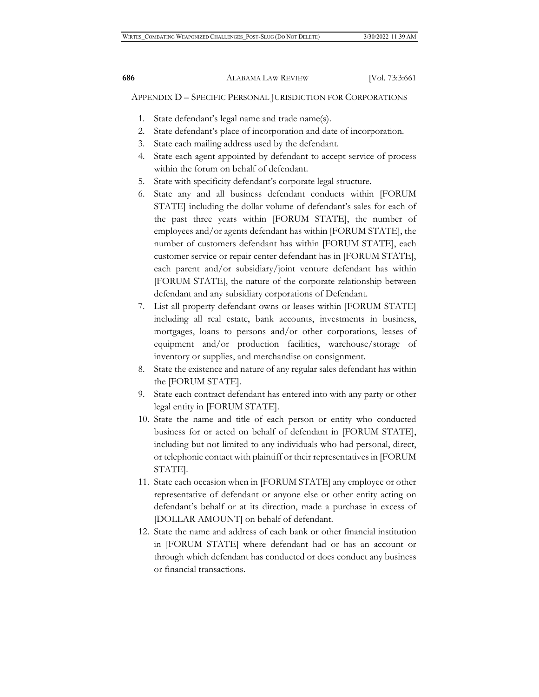APPENDIX D – SPECIFIC PERSONAL JURISDICTION FOR CORPORATIONS

- 1. State defendant's legal name and trade name(s).
- 2. State defendant's place of incorporation and date of incorporation.
- 3. State each mailing address used by the defendant.
- 4. State each agent appointed by defendant to accept service of process within the forum on behalf of defendant.
- 5. State with specificity defendant's corporate legal structure.
- 6. State any and all business defendant conducts within [FORUM STATE] including the dollar volume of defendant's sales for each of the past three years within [FORUM STATE], the number of employees and/or agents defendant has within [FORUM STATE], the number of customers defendant has within [FORUM STATE], each customer service or repair center defendant has in [FORUM STATE], each parent and/or subsidiary/joint venture defendant has within [FORUM STATE], the nature of the corporate relationship between defendant and any subsidiary corporations of Defendant.
- 7. List all property defendant owns or leases within [FORUM STATE] including all real estate, bank accounts, investments in business, mortgages, loans to persons and/or other corporations, leases of equipment and/or production facilities, warehouse/storage of inventory or supplies, and merchandise on consignment.
- 8. State the existence and nature of any regular sales defendant has within the [FORUM STATE].
- 9. State each contract defendant has entered into with any party or other legal entity in [FORUM STATE].
- 10. State the name and title of each person or entity who conducted business for or acted on behalf of defendant in [FORUM STATE], including but not limited to any individuals who had personal, direct, or telephonic contact with plaintiff or their representatives in [FORUM STATE].
- 11. State each occasion when in [FORUM STATE] any employee or other representative of defendant or anyone else or other entity acting on defendant's behalf or at its direction, made a purchase in excess of [DOLLAR AMOUNT] on behalf of defendant.
- 12. State the name and address of each bank or other financial institution in [FORUM STATE] where defendant had or has an account or through which defendant has conducted or does conduct any business or financial transactions.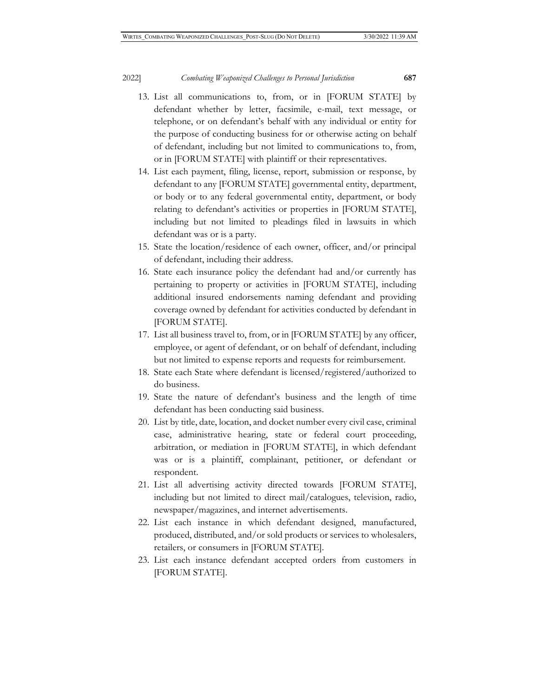#### 2022] *Combating Weaponized Challenges to Personal Jurisdiction* **687**

- 13. List all communications to, from, or in [FORUM STATE] by defendant whether by letter, facsimile, e-mail, text message, or telephone, or on defendant's behalf with any individual or entity for the purpose of conducting business for or otherwise acting on behalf of defendant, including but not limited to communications to, from, or in [FORUM STATE] with plaintiff or their representatives.
- 14. List each payment, filing, license, report, submission or response, by defendant to any [FORUM STATE] governmental entity, department, or body or to any federal governmental entity, department, or body relating to defendant's activities or properties in [FORUM STATE], including but not limited to pleadings filed in lawsuits in which defendant was or is a party.
- 15. State the location/residence of each owner, officer, and/or principal of defendant, including their address.
- 16. State each insurance policy the defendant had and/or currently has pertaining to property or activities in [FORUM STATE], including additional insured endorsements naming defendant and providing coverage owned by defendant for activities conducted by defendant in [FORUM STATE].
- 17. List all business travel to, from, or in [FORUM STATE] by any officer, employee, or agent of defendant, or on behalf of defendant, including but not limited to expense reports and requests for reimbursement.
- 18. State each State where defendant is licensed/registered/authorized to do business.
- 19. State the nature of defendant's business and the length of time defendant has been conducting said business.
- 20. List by title, date, location, and docket number every civil case, criminal case, administrative hearing, state or federal court proceeding, arbitration, or mediation in [FORUM STATE], in which defendant was or is a plaintiff, complainant, petitioner, or defendant or respondent.
- 21. List all advertising activity directed towards [FORUM STATE], including but not limited to direct mail/catalogues, television, radio, newspaper/magazines, and internet advertisements.
- 22. List each instance in which defendant designed, manufactured, produced, distributed, and/or sold products or services to wholesalers, retailers, or consumers in [FORUM STATE].
- 23. List each instance defendant accepted orders from customers in [FORUM STATE].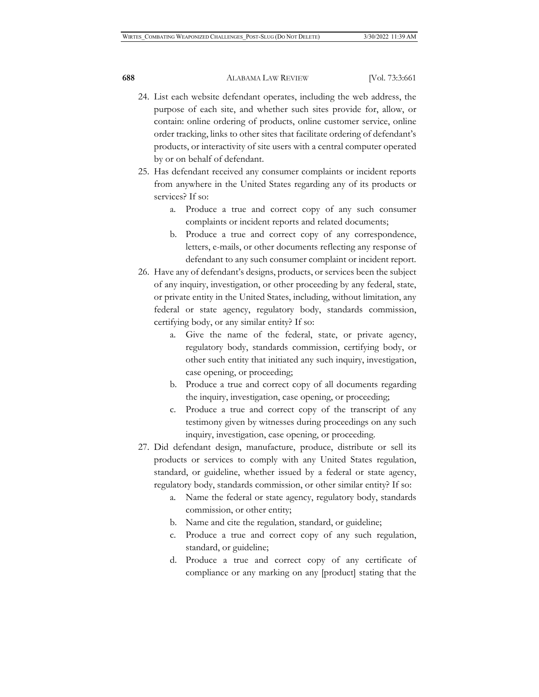- 24. List each website defendant operates, including the web address, the purpose of each site, and whether such sites provide for, allow, or contain: online ordering of products, online customer service, online order tracking, links to other sites that facilitate ordering of defendant's products, or interactivity of site users with a central computer operated by or on behalf of defendant.
- 25. Has defendant received any consumer complaints or incident reports from anywhere in the United States regarding any of its products or services? If so:
	- a. Produce a true and correct copy of any such consumer complaints or incident reports and related documents;
	- b. Produce a true and correct copy of any correspondence, letters, e-mails, or other documents reflecting any response of defendant to any such consumer complaint or incident report.
- 26. Have any of defendant's designs, products, or services been the subject of any inquiry, investigation, or other proceeding by any federal, state, or private entity in the United States, including, without limitation, any federal or state agency, regulatory body, standards commission, certifying body, or any similar entity? If so:
	- a. Give the name of the federal, state, or private agency, regulatory body, standards commission, certifying body, or other such entity that initiated any such inquiry, investigation, case opening, or proceeding;
	- b. Produce a true and correct copy of all documents regarding the inquiry, investigation, case opening, or proceeding;
	- c. Produce a true and correct copy of the transcript of any testimony given by witnesses during proceedings on any such inquiry, investigation, case opening, or proceeding.
- 27. Did defendant design, manufacture, produce, distribute or sell its products or services to comply with any United States regulation, standard, or guideline, whether issued by a federal or state agency, regulatory body, standards commission, or other similar entity? If so:
	- a. Name the federal or state agency, regulatory body, standards commission, or other entity;
	- b. Name and cite the regulation, standard, or guideline;
	- c. Produce a true and correct copy of any such regulation, standard, or guideline;
	- d. Produce a true and correct copy of any certificate of compliance or any marking on any [product] stating that the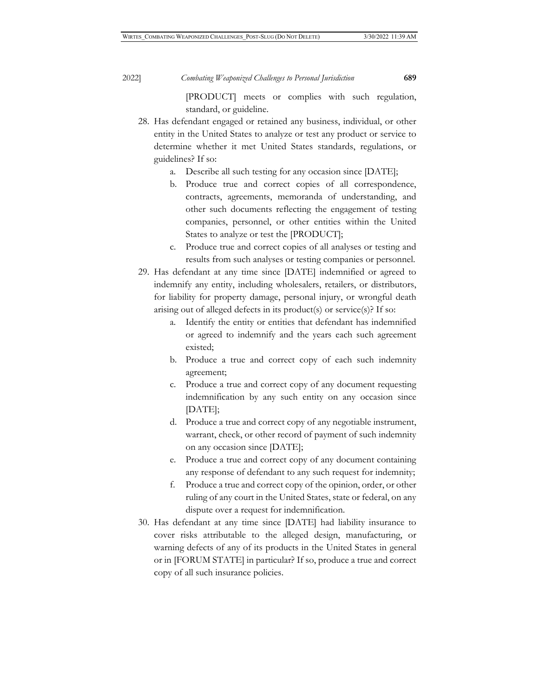[PRODUCT] meets or complies with such regulation, standard, or guideline.

- 28. Has defendant engaged or retained any business, individual, or other entity in the United States to analyze or test any product or service to determine whether it met United States standards, regulations, or guidelines? If so:
	- a. Describe all such testing for any occasion since [DATE];
	- b. Produce true and correct copies of all correspondence, contracts, agreements, memoranda of understanding, and other such documents reflecting the engagement of testing companies, personnel, or other entities within the United States to analyze or test the [PRODUCT];
	- c. Produce true and correct copies of all analyses or testing and results from such analyses or testing companies or personnel.
- 29. Has defendant at any time since [DATE] indemnified or agreed to indemnify any entity, including wholesalers, retailers, or distributors, for liability for property damage, personal injury, or wrongful death arising out of alleged defects in its product(s) or service(s)? If so:
	- Identify the entity or entities that defendant has indemnified or agreed to indemnify and the years each such agreement existed;
	- b. Produce a true and correct copy of each such indemnity agreement;
	- c. Produce a true and correct copy of any document requesting indemnification by any such entity on any occasion since [DATE];
	- d. Produce a true and correct copy of any negotiable instrument, warrant, check, or other record of payment of such indemnity on any occasion since [DATE];
	- e. Produce a true and correct copy of any document containing any response of defendant to any such request for indemnity;
	- f. Produce a true and correct copy of the opinion, order, or other ruling of any court in the United States, state or federal, on any dispute over a request for indemnification.
- 30. Has defendant at any time since [DATE] had liability insurance to cover risks attributable to the alleged design, manufacturing, or warning defects of any of its products in the United States in general or in [FORUM STATE] in particular? If so, produce a true and correct copy of all such insurance policies.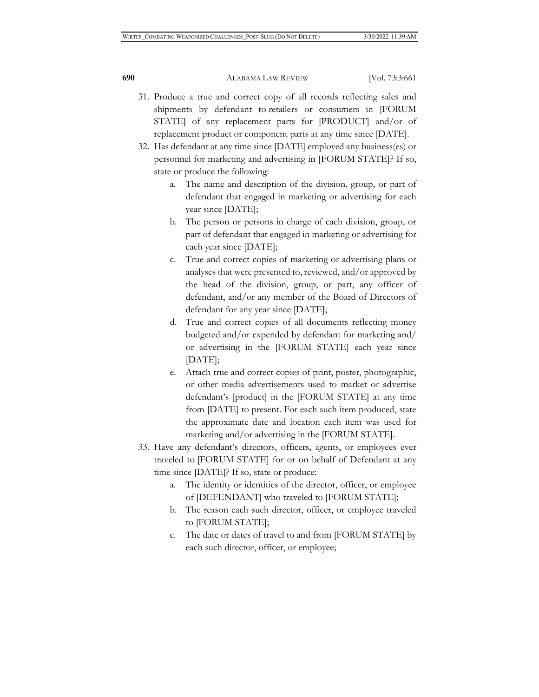- 31. Produce a true and correct copy of all records reflecting sales and shipments by defendant to retailers or consumers in [FORUM STATE] of any replacement parts for [PRODUCT] and/or of replacement product or component parts at any time since [DATE].
- 32. Has defendant at any time since [DATE] employed any business(es) or personnel for marketing and advertising in [FORUM STATE]? If so, state or produce the following:
	- a. The name and description of the division, group, or part of defendant that engaged in marketing or advertising for each year since [DATE];
	- b. The person or persons in charge of each division, group, or part of defendant that engaged in marketing or advertising for each year since [DATE];
	- c. True and correct copies of marketing or advertising plans or analyses that were presented to, reviewed, and/or approved by the head of the division, group, or part, any officer of defendant, and/or any member of the Board of Directors of defendant for any year since [DATE];
	- d. True and correct copies of all documents reflecting money budgeted and/or expended by defendant for marketing and/ or advertising in the [FORUM STATE] each year since [DATE];
	- e. Attach true and correct copies of print, poster, photographic, or other media advertisements used to market or advertise defendant's [product] in the [FORUM STATE] at any time from [DATE] to present. For each such item produced, state the approximate date and location each item was used for marketing and/or advertising in the [FORUM STATE].
- 33. Have any defendant's directors, officers, agents, or employees ever traveled to [FORUM STATE] for or on behalf of Defendant at any time since [DATE]? If so, state or produce:
	- a. The identity or identities of the director, officer, or employee of [DEFENDANT] who traveled to [FORUM STATE];
	- b. The reason each such director, officer, or employee traveled to [FORUM STATE];
	- c. The date or dates of travel to and from [FORUM STATE] by each such director, officer, or employee;